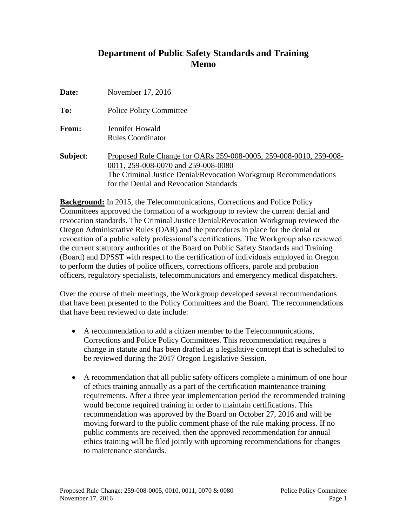# **Department of Public Safety Standards and Training Memo**

| Date:    | November 17, 2016                                                                                                                                                                                                        |
|----------|--------------------------------------------------------------------------------------------------------------------------------------------------------------------------------------------------------------------------|
| To:      | <b>Police Policy Committee</b>                                                                                                                                                                                           |
| From:    | Jennifer Howald<br><b>Rules Coordinator</b>                                                                                                                                                                              |
| Subject: | Proposed Rule Change for OARs 259-008-0005, 259-008-0010, 259-008-<br>0011, 259-008-0070 and 259-008-0080<br>The Criminal Justice Denial/Revocation Workgroup Recommendations<br>for the Denial and Revocation Standards |

**Background:** In 2015, the Telecommunications, Corrections and Police Policy Committees approved the formation of a workgroup to review the current denial and revocation standards. The Criminal Justice Denial/Revocation Workgroup reviewed the Oregon Administrative Rules (OAR) and the procedures in place for the denial or revocation of a public safety professional's certifications. The Workgroup also reviewed the current statutory authorities of the Board on Public Safety Standards and Training (Board) and DPSST with respect to the certification of individuals employed in Oregon to perform the duties of police officers, corrections officers, parole and probation officers, regulatory specialists, telecommunicators and emergency medical dispatchers.

Over the course of their meetings, the Workgroup developed several recommendations that have been presented to the Policy Committees and the Board. The recommendations that have been reviewed to date include:

- A recommendation to add a citizen member to the Telecommunications, Corrections and Police Policy Committees. This recommendation requires a change in statute and has been drafted as a legislative concept that is scheduled to be reviewed during the 2017 Oregon Legislative Session.
- A recommendation that all public safety officers complete a minimum of one hour of ethics training annually as a part of the certification maintenance training requirements. After a three year implementation period the recommended training would become required training in order to maintain certifications. This recommendation was approved by the Board on October 27, 2016 and will be moving forward to the public comment phase of the rule making process. If no public comments are received, then the approved recommendation for annual ethics training will be filed jointly with upcoming recommendations for changes to maintenance standards.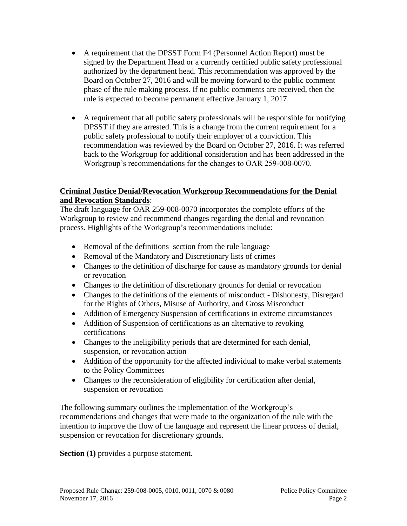- A requirement that the DPSST Form F4 (Personnel Action Report) must be signed by the Department Head or a currently certified public safety professional authorized by the department head. This recommendation was approved by the Board on October 27, 2016 and will be moving forward to the public comment phase of the rule making process. If no public comments are received, then the rule is expected to become permanent effective January 1, 2017.
- A requirement that all public safety professionals will be responsible for notifying DPSST if they are arrested. This is a change from the current requirement for a public safety professional to notify their employer of a conviction. This recommendation was reviewed by the Board on October 27, 2016. It was referred back to the Workgroup for additional consideration and has been addressed in the Workgroup's recommendations for the changes to OAR 259-008-0070.

# **Criminal Justice Denial/Revocation Workgroup Recommendations for the Denial and Revocation Standards**:

The draft language for OAR 259-008-0070 incorporates the complete efforts of the Workgroup to review and recommend changes regarding the denial and revocation process. Highlights of the Workgroup's recommendations include:

- Removal of the definitions section from the rule language
- Removal of the Mandatory and Discretionary lists of crimes
- Changes to the definition of discharge for cause as mandatory grounds for denial or revocation
- Changes to the definition of discretionary grounds for denial or revocation
- Changes to the definitions of the elements of misconduct Dishonesty, Disregard for the Rights of Others, Misuse of Authority, and Gross Misconduct
- Addition of Emergency Suspension of certifications in extreme circumstances
- Addition of Suspension of certifications as an alternative to revoking certifications
- Changes to the ineligibility periods that are determined for each denial, suspension, or revocation action
- Addition of the opportunity for the affected individual to make verbal statements to the Policy Committees
- Changes to the reconsideration of eligibility for certification after denial, suspension or revocation

The following summary outlines the implementation of the Workgroup's recommendations and changes that were made to the organization of the rule with the intention to improve the flow of the language and represent the linear process of denial, suspension or revocation for discretionary grounds.

**Section (1)** provides a purpose statement.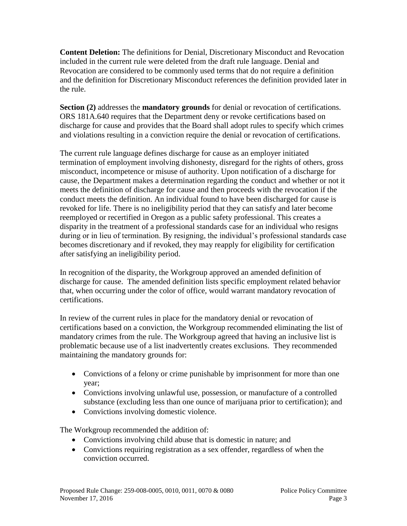**Content Deletion:** The definitions for Denial, Discretionary Misconduct and Revocation included in the current rule were deleted from the draft rule language. Denial and Revocation are considered to be commonly used terms that do not require a definition and the definition for Discretionary Misconduct references the definition provided later in the rule.

**Section (2)** addresses the **mandatory grounds** for denial or revocation of certifications. ORS 181A.640 requires that the Department deny or revoke certifications based on discharge for cause and provides that the Board shall adopt rules to specify which crimes and violations resulting in a conviction require the denial or revocation of certifications.

The current rule language defines discharge for cause as an employer initiated termination of employment involving dishonesty, disregard for the rights of others, gross misconduct, incompetence or misuse of authority. Upon notification of a discharge for cause, the Department makes a determination regarding the conduct and whether or not it meets the definition of discharge for cause and then proceeds with the revocation if the conduct meets the definition. An individual found to have been discharged for cause is revoked for life. There is no ineligibility period that they can satisfy and later become reemployed or recertified in Oregon as a public safety professional. This creates a disparity in the treatment of a professional standards case for an individual who resigns during or in lieu of termination. By resigning, the individual's professional standards case becomes discretionary and if revoked, they may reapply for eligibility for certification after satisfying an ineligibility period.

In recognition of the disparity, the Workgroup approved an amended definition of discharge for cause. The amended definition lists specific employment related behavior that, when occurring under the color of office, would warrant mandatory revocation of certifications.

In review of the current rules in place for the mandatory denial or revocation of certifications based on a conviction, the Workgroup recommended eliminating the list of mandatory crimes from the rule. The Workgroup agreed that having an inclusive list is problematic because use of a list inadvertently creates exclusions. They recommended maintaining the mandatory grounds for:

- Convictions of a felony or crime punishable by imprisonment for more than one year;
- Convictions involving unlawful use, possession, or manufacture of a controlled substance (excluding less than one ounce of marijuana prior to certification); and
- Convictions involving domestic violence.

The Workgroup recommended the addition of:

- Convictions involving child abuse that is domestic in nature; and
- Convictions requiring registration as a sex offender, regardless of when the conviction occurred.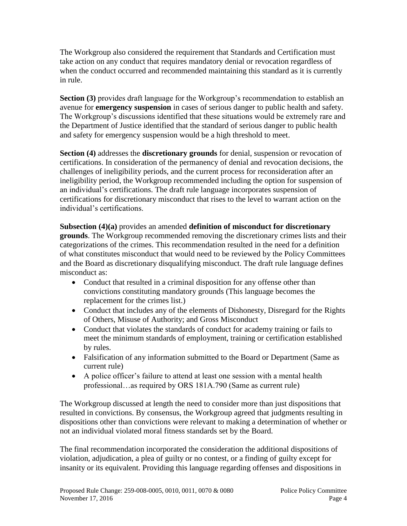The Workgroup also considered the requirement that Standards and Certification must take action on any conduct that requires mandatory denial or revocation regardless of when the conduct occurred and recommended maintaining this standard as it is currently in rule.

**Section (3)** provides draft language for the Workgroup's recommendation to establish an avenue for **emergency suspension** in cases of serious danger to public health and safety. The Workgroup's discussions identified that these situations would be extremely rare and the Department of Justice identified that the standard of serious danger to public health and safety for emergency suspension would be a high threshold to meet.

**Section (4)** addresses the **discretionary grounds** for denial, suspension or revocation of certifications. In consideration of the permanency of denial and revocation decisions, the challenges of ineligibility periods, and the current process for reconsideration after an ineligibility period, the Workgroup recommended including the option for suspension of an individual's certifications. The draft rule language incorporates suspension of certifications for discretionary misconduct that rises to the level to warrant action on the individual's certifications.

**Subsection (4)(a)** provides an amended **definition of misconduct for discretionary grounds**. The Workgroup recommended removing the discretionary crimes lists and their categorizations of the crimes. This recommendation resulted in the need for a definition of what constitutes misconduct that would need to be reviewed by the Policy Committees and the Board as discretionary disqualifying misconduct. The draft rule language defines misconduct as:

- Conduct that resulted in a criminal disposition for any offense other than convictions constituting mandatory grounds (This language becomes the replacement for the crimes list.)
- Conduct that includes any of the elements of Dishonesty, Disregard for the Rights of Others, Misuse of Authority; and Gross Misconduct
- Conduct that violates the standards of conduct for academy training or fails to meet the minimum standards of employment, training or certification established by rules.
- Falsification of any information submitted to the Board or Department (Same as current rule)
- A police officer's failure to attend at least one session with a mental health professional…as required by ORS 181A.790 (Same as current rule)

The Workgroup discussed at length the need to consider more than just dispositions that resulted in convictions. By consensus, the Workgroup agreed that judgments resulting in dispositions other than convictions were relevant to making a determination of whether or not an individual violated moral fitness standards set by the Board.

The final recommendation incorporated the consideration the additional dispositions of violation, adjudication, a plea of guilty or no contest, or a finding of guilty except for insanity or its equivalent. Providing this language regarding offenses and dispositions in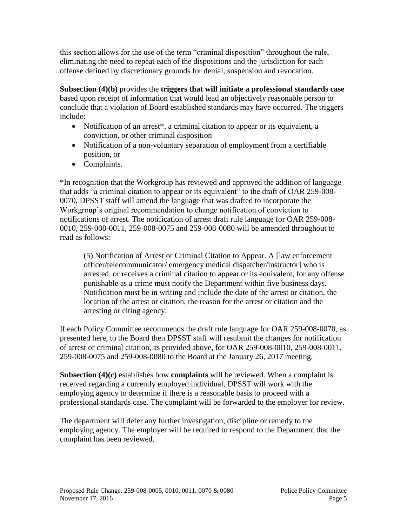this section allows for the use of the term "criminal disposition" throughout the rule, eliminating the need to repeat each of the dispositions and the jurisdiction for each offense defined by discretionary grounds for denial, suspension and revocation.

**Subsection (4)(b)** provides the **triggers that will initiate a professional standards case** based upon receipt of information that would lead an objectively reasonable person to conclude that a violation of Board established standards may have occurred. The triggers include:

- Notification of an arrest<sup>\*</sup>, a criminal citation to appear or its equivalent, a conviction, or other criminal disposition
- Notification of a non-voluntary separation of employment from a certifiable position, or
- Complaints.

\*In recognition that the Workgroup has reviewed and approved the addition of language that adds "a criminal citation to appear or its equivalent" to the draft of OAR 259-008- 0070, DPSST staff will amend the language that was drafted to incorporate the Workgroup's original recommendation to change notification of conviction to notifications of arrest. The notification of arrest draft rule language for OAR 259-008- 0010, 259-008-0011, 259-008-0075 and 259-008-0080 will be amended throughout to read as follows:

(5) Notification of Arrest or Criminal Citation to Appear. A [law enforcement officer/telecommunicator/ emergency medical dispatcher/instructor] who is arrested, or receives a criminal citation to appear or its equivalent, for any offense punishable as a crime must notify the Department within five business days. Notification must be in writing and include the date of the arrest or citation, the location of the arrest or citation, the reason for the arrest or citation and the arresting or citing agency.

If each Policy Committee recommends the draft rule language for OAR 259-008-0070, as presented here, to the Board then DPSST staff will resubmit the changes for notification of arrest or criminal citation, as provided above, for OAR 259-008-0010, 259-008-0011, 259-008-0075 and 259-008-0080 to the Board at the January 26, 2017 meeting.

**Subsection (4)(c)** establishes how **complaints** will be reviewed. When a complaint is received regarding a currently employed individual, DPSST will work with the employing agency to determine if there is a reasonable basis to proceed with a professional standards case. The complaint will be forwarded to the employer for review.

The department will defer any further investigation, discipline or remedy to the employing agency. The employer will be required to respond to the Department that the complaint has been reviewed.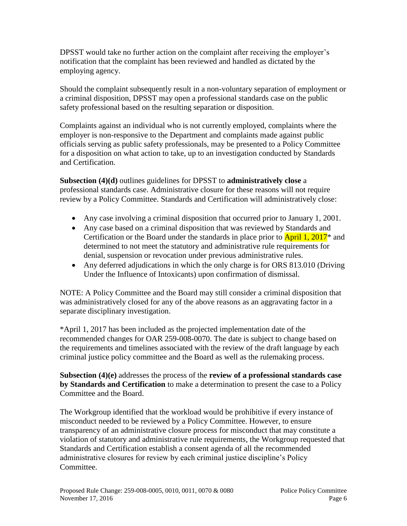DPSST would take no further action on the complaint after receiving the employer's notification that the complaint has been reviewed and handled as dictated by the employing agency.

Should the complaint subsequently result in a non-voluntary separation of employment or a criminal disposition, DPSST may open a professional standards case on the public safety professional based on the resulting separation or disposition.

Complaints against an individual who is not currently employed, complaints where the employer is non-responsive to the Department and complaints made against public officials serving as public safety professionals, may be presented to a Policy Committee for a disposition on what action to take, up to an investigation conducted by Standards and Certification.

**Subsection (4)(d)** outlines guidelines for DPSST to **administratively close** a professional standards case. Administrative closure for these reasons will not require review by a Policy Committee. Standards and Certification will administratively close:

- Any case involving a criminal disposition that occurred prior to January 1, 2001.
- Any case based on a criminal disposition that was reviewed by Standards and Certification or the Board under the standards in place prior to  $\text{April 1, } 2017^*$  and determined to not meet the statutory and administrative rule requirements for denial, suspension or revocation under previous administrative rules.
- Any deferred adjudications in which the only charge is for ORS 813.010 (Driving Under the Influence of Intoxicants) upon confirmation of dismissal.

NOTE: A Policy Committee and the Board may still consider a criminal disposition that was administratively closed for any of the above reasons as an aggravating factor in a separate disciplinary investigation.

\*April 1, 2017 has been included as the projected implementation date of the recommended changes for OAR 259-008-0070. The date is subject to change based on the requirements and timelines associated with the review of the draft language by each criminal justice policy committee and the Board as well as the rulemaking process.

**Subsection (4)(e)** addresses the process of the **review of a professional standards case by Standards and Certification** to make a determination to present the case to a Policy Committee and the Board.

The Workgroup identified that the workload would be prohibitive if every instance of misconduct needed to be reviewed by a Policy Committee. However, to ensure transparency of an administrative closure process for misconduct that may constitute a violation of statutory and administrative rule requirements, the Workgroup requested that Standards and Certification establish a consent agenda of all the recommended administrative closures for review by each criminal justice discipline's Policy Committee.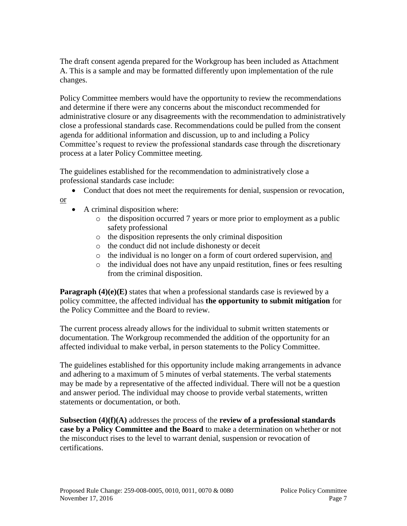The draft consent agenda prepared for the Workgroup has been included as Attachment A. This is a sample and may be formatted differently upon implementation of the rule changes.

Policy Committee members would have the opportunity to review the recommendations and determine if there were any concerns about the misconduct recommended for administrative closure or any disagreements with the recommendation to administratively close a professional standards case. Recommendations could be pulled from the consent agenda for additional information and discussion, up to and including a Policy Committee's request to review the professional standards case through the discretionary process at a later Policy Committee meeting.

The guidelines established for the recommendation to administratively close a professional standards case include:

- Conduct that does not meet the requirements for denial, suspension or revocation,
- A criminal disposition where:

or

- o the disposition occurred 7 years or more prior to employment as a public safety professional
- o the disposition represents the only criminal disposition
- o the conduct did not include dishonesty or deceit
- o the individual is no longer on a form of court ordered supervision, and
- o the individual does not have any unpaid restitution, fines or fees resulting from the criminal disposition.

**Paragraph (4)(e)(E)** states that when a professional standards case is reviewed by a policy committee, the affected individual has **the opportunity to submit mitigation** for the Policy Committee and the Board to review.

The current process already allows for the individual to submit written statements or documentation. The Workgroup recommended the addition of the opportunity for an affected individual to make verbal, in person statements to the Policy Committee.

The guidelines established for this opportunity include making arrangements in advance and adhering to a maximum of 5 minutes of verbal statements. The verbal statements may be made by a representative of the affected individual. There will not be a question and answer period. The individual may choose to provide verbal statements, written statements or documentation, or both.

**Subsection (4)(f)(A)** addresses the process of the **review of a professional standards case by a Policy Committee and the Board** to make a determination on whether or not the misconduct rises to the level to warrant denial, suspension or revocation of certifications.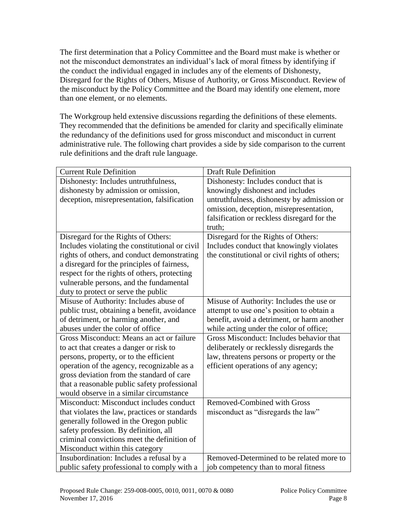The first determination that a Policy Committee and the Board must make is whether or not the misconduct demonstrates an individual's lack of moral fitness by identifying if the conduct the individual engaged in includes any of the elements of Dishonesty, Disregard for the Rights of Others, Misuse of Authority, or Gross Misconduct. Review of the misconduct by the Policy Committee and the Board may identify one element, more than one element, or no elements.

The Workgroup held extensive discussions regarding the definitions of these elements. They recommended that the definitions be amended for clarity and specifically eliminate the redundancy of the definitions used for gross misconduct and misconduct in current administrative rule. The following chart provides a side by side comparison to the current rule definitions and the draft rule language.

| <b>Current Rule Definition</b>                 | <b>Draft Rule Definition</b>                  |
|------------------------------------------------|-----------------------------------------------|
| Dishonesty: Includes untruthfulness,           | Dishonesty: Includes conduct that is          |
| dishonesty by admission or omission,           | knowingly dishonest and includes              |
| deception, misrepresentation, falsification    | untruthfulness, dishonesty by admission or    |
|                                                | omission, deception, misrepresentation,       |
|                                                | falsification or reckless disregard for the   |
|                                                | truth;                                        |
| Disregard for the Rights of Others:            | Disregard for the Rights of Others:           |
| Includes violating the constitutional or civil | Includes conduct that knowingly violates      |
| rights of others, and conduct demonstrating    | the constitutional or civil rights of others; |
| a disregard for the principles of fairness,    |                                               |
| respect for the rights of others, protecting   |                                               |
| vulnerable persons, and the fundamental        |                                               |
| duty to protect or serve the public            |                                               |
| Misuse of Authority: Includes abuse of         | Misuse of Authority: Includes the use or      |
| public trust, obtaining a benefit, avoidance   | attempt to use one's position to obtain a     |
| of detriment, or harming another, and          | benefit, avoid a detriment, or harm another   |
| abuses under the color of office               | while acting under the color of office;       |
| Gross Misconduct: Means an act or failure      | Gross Misconduct: Includes behavior that      |
| to act that creates a danger or risk to        | deliberately or recklessly disregards the     |
| persons, property, or to the efficient         | law, threatens persons or property or the     |
| operation of the agency, recognizable as a     | efficient operations of any agency;           |
| gross deviation from the standard of care      |                                               |
| that a reasonable public safety professional   |                                               |
| would observe in a similar circumstance        |                                               |
| Misconduct: Misconduct includes conduct        | <b>Removed-Combined with Gross</b>            |
| that violates the law, practices or standards  | misconduct as "disregards the law"            |
| generally followed in the Oregon public        |                                               |
| safety profession. By definition, all          |                                               |
| criminal convictions meet the definition of    |                                               |
| Misconduct within this category                |                                               |
| Insubordination: Includes a refusal by a       | Removed-Determined to be related more to      |
| public safety professional to comply with a    | job competency than to moral fitness          |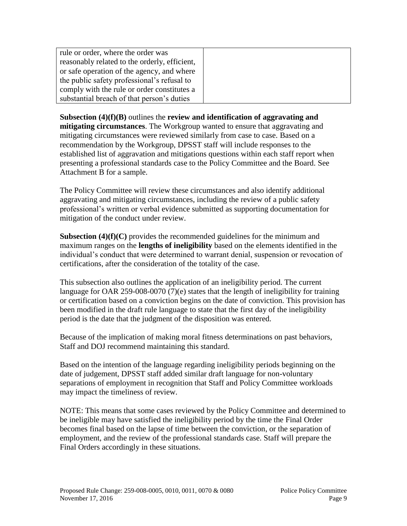| rule or order, where the order was            |  |
|-----------------------------------------------|--|
| reasonably related to the orderly, efficient, |  |
| or safe operation of the agency, and where    |  |
| the public safety professional's refusal to   |  |
| comply with the rule or order constitutes a   |  |
| substantial breach of that person's duties    |  |

**Subsection (4)(f)(B)** outlines the **review and identification of aggravating and mitigating circumstances**. The Workgroup wanted to ensure that aggravating and mitigating circumstances were reviewed similarly from case to case. Based on a recommendation by the Workgroup, DPSST staff will include responses to the established list of aggravation and mitigations questions within each staff report when presenting a professional standards case to the Policy Committee and the Board. See Attachment B for a sample.

The Policy Committee will review these circumstances and also identify additional aggravating and mitigating circumstances, including the review of a public safety professional's written or verbal evidence submitted as supporting documentation for mitigation of the conduct under review.

**Subsection (4)(f)(C)** provides the recommended guidelines for the minimum and maximum ranges on the **lengths of ineligibility** based on the elements identified in the individual's conduct that were determined to warrant denial, suspension or revocation of certifications, after the consideration of the totality of the case.

This subsection also outlines the application of an ineligibility period. The current language for OAR 259-008-0070 (7)(e) states that the length of ineligibility for training or certification based on a conviction begins on the date of conviction. This provision has been modified in the draft rule language to state that the first day of the ineligibility period is the date that the judgment of the disposition was entered.

Because of the implication of making moral fitness determinations on past behaviors, Staff and DOJ recommend maintaining this standard.

Based on the intention of the language regarding ineligibility periods beginning on the date of judgement, DPSST staff added similar draft language for non-voluntary separations of employment in recognition that Staff and Policy Committee workloads may impact the timeliness of review.

NOTE: This means that some cases reviewed by the Policy Committee and determined to be ineligible may have satisfied the ineligibility period by the time the Final Order becomes final based on the lapse of time between the conviction, or the separation of employment, and the review of the professional standards case. Staff will prepare the Final Orders accordingly in these situations.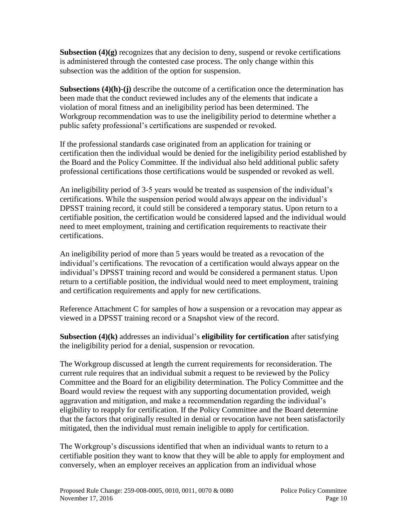**Subsection**  $(4)(g)$  recognizes that any decision to deny, suspend or revoke certifications is administered through the contested case process. The only change within this subsection was the addition of the option for suspension.

**Subsections (4)(h)-(j)** describe the outcome of a certification once the determination has been made that the conduct reviewed includes any of the elements that indicate a violation of moral fitness and an ineligibility period has been determined. The Workgroup recommendation was to use the ineligibility period to determine whether a public safety professional's certifications are suspended or revoked.

If the professional standards case originated from an application for training or certification then the individual would be denied for the ineligibility period established by the Board and the Policy Committee. If the individual also held additional public safety professional certifications those certifications would be suspended or revoked as well.

An ineligibility period of 3-5 years would be treated as suspension of the individual's certifications. While the suspension period would always appear on the individual's DPSST training record, it could still be considered a temporary status. Upon return to a certifiable position, the certification would be considered lapsed and the individual would need to meet employment, training and certification requirements to reactivate their certifications.

An ineligibility period of more than 5 years would be treated as a revocation of the individual's certifications. The revocation of a certification would always appear on the individual's DPSST training record and would be considered a permanent status. Upon return to a certifiable position, the individual would need to meet employment, training and certification requirements and apply for new certifications.

Reference Attachment C for samples of how a suspension or a revocation may appear as viewed in a DPSST training record or a Snapshot view of the record.

**Subsection (4)(k)** addresses an individual's **eligibility for certification** after satisfying the ineligibility period for a denial, suspension or revocation.

The Workgroup discussed at length the current requirements for reconsideration. The current rule requires that an individual submit a request to be reviewed by the Policy Committee and the Board for an eligibility determination. The Policy Committee and the Board would review the request with any supporting documentation provided, weigh aggravation and mitigation, and make a recommendation regarding the individual's eligibility to reapply for certification. If the Policy Committee and the Board determine that the factors that originally resulted in denial or revocation have not been satisfactorily mitigated, then the individual must remain ineligible to apply for certification.

The Workgroup's discussions identified that when an individual wants to return to a certifiable position they want to know that they will be able to apply for employment and conversely, when an employer receives an application from an individual whose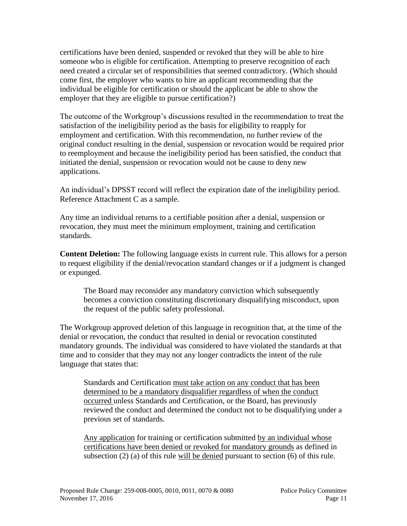certifications have been denied, suspended or revoked that they will be able to hire someone who is eligible for certification. Attempting to preserve recognition of each need created a circular set of responsibilities that seemed contradictory. (Which should come first, the employer who wants to hire an applicant recommending that the individual be eligible for certification or should the applicant be able to show the employer that they are eligible to pursue certification?)

The outcome of the Workgroup's discussions resulted in the recommendation to treat the satisfaction of the ineligibility period as the basis for eligibility to reapply for employment and certification. With this recommendation, no further review of the original conduct resulting in the denial, suspension or revocation would be required prior to reemployment and because the ineligibility period has been satisfied, the conduct that initiated the denial, suspension or revocation would not be cause to deny new applications.

An individual's DPSST record will reflect the expiration date of the ineligibility period. Reference Attachment C as a sample.

Any time an individual returns to a certifiable position after a denial, suspension or revocation, they must meet the minimum employment, training and certification standards.

**Content Deletion:** The following language exists in current rule. This allows for a person to request eligibility if the denial/revocation standard changes or if a judgment is changed or expunged.

The Board may reconsider any mandatory conviction which subsequently becomes a conviction constituting discretionary disqualifying misconduct, upon the request of the public safety professional.

The Workgroup approved deletion of this language in recognition that, at the time of the denial or revocation, the conduct that resulted in denial or revocation constituted mandatory grounds. The individual was considered to have violated the standards at that time and to consider that they may not any longer contradicts the intent of the rule language that states that:

Standards and Certification must take action on any conduct that has been determined to be a mandatory disqualifier regardless of when the conduct occurred unless Standards and Certification, or the Board, has previously reviewed the conduct and determined the conduct not to be disqualifying under a previous set of standards.

Any application for training or certification submitted by an individual whose certifications have been denied or revoked for mandatory grounds as defined in subsection (2) (a) of this rule will be denied pursuant to section (6) of this rule.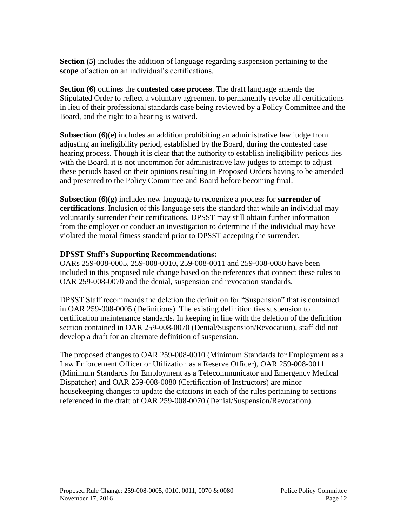**Section (5)** includes the addition of language regarding suspension pertaining to the **scope** of action on an individual's certifications.

**Section (6)** outlines the **contested case process**. The draft language amends the Stipulated Order to reflect a voluntary agreement to permanently revoke all certifications in lieu of their professional standards case being reviewed by a Policy Committee and the Board, and the right to a hearing is waived.

**Subsection (6)(e)** includes an addition prohibiting an administrative law judge from adjusting an ineligibility period, established by the Board, during the contested case hearing process. Though it is clear that the authority to establish ineligibility periods lies with the Board, it is not uncommon for administrative law judges to attempt to adjust these periods based on their opinions resulting in Proposed Orders having to be amended and presented to the Policy Committee and Board before becoming final.

**Subsection (6)(g)** includes new language to recognize a process for **surrender of certifications**. Inclusion of this language sets the standard that while an individual may voluntarily surrender their certifications, DPSST may still obtain further information from the employer or conduct an investigation to determine if the individual may have violated the moral fitness standard prior to DPSST accepting the surrender.

# **DPSST Staff's Supporting Recommendations:**

OARs 259-008-0005, 259-008-0010, 259-008-0011 and 259-008-0080 have been included in this proposed rule change based on the references that connect these rules to OAR 259-008-0070 and the denial, suspension and revocation standards.

DPSST Staff recommends the deletion the definition for "Suspension" that is contained in OAR 259-008-0005 (Definitions). The existing definition ties suspension to certification maintenance standards. In keeping in line with the deletion of the definition section contained in OAR 259-008-0070 (Denial/Suspension/Revocation), staff did not develop a draft for an alternate definition of suspension.

The proposed changes to OAR 259-008-0010 (Minimum Standards for Employment as a Law Enforcement Officer or Utilization as a Reserve Officer), OAR 259-008-0011 (Minimum Standards for Employment as a Telecommunicator and Emergency Medical Dispatcher) and OAR 259-008-0080 (Certification of Instructors) are minor housekeeping changes to update the citations in each of the rules pertaining to sections referenced in the draft of OAR 259-008-0070 (Denial/Suspension/Revocation).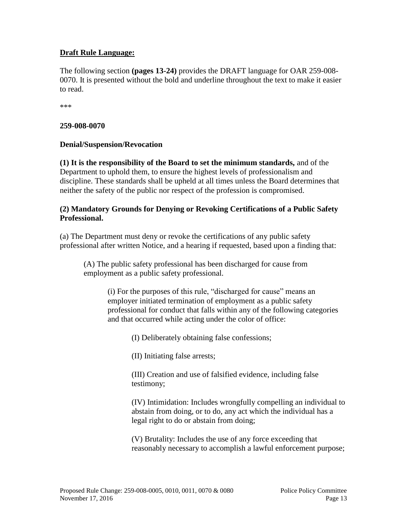# **Draft Rule Language:**

The following section **(pages 13-24)** provides the DRAFT language for OAR 259-008- 0070. It is presented without the bold and underline throughout the text to make it easier to read.

\*\*\*

#### **259-008-0070**

# **Denial/Suspension/Revocation**

**(1) It is the responsibility of the Board to set the minimum standards,** and of the Department to uphold them, to ensure the highest levels of professionalism and discipline. These standards shall be upheld at all times unless the Board determines that neither the safety of the public nor respect of the profession is compromised.

#### **(2) Mandatory Grounds for Denying or Revoking Certifications of a Public Safety Professional.**

(a) The Department must deny or revoke the certifications of any public safety professional after written Notice, and a hearing if requested, based upon a finding that:

(A) The public safety professional has been discharged for cause from employment as a public safety professional.

> (i) For the purposes of this rule, "discharged for cause" means an employer initiated termination of employment as a public safety professional for conduct that falls within any of the following categories and that occurred while acting under the color of office:

> > (I) Deliberately obtaining false confessions;

(II) Initiating false arrests;

(III) Creation and use of falsified evidence, including false testimony;

(IV) Intimidation: Includes wrongfully compelling an individual to abstain from doing, or to do, any act which the individual has a legal right to do or abstain from doing;

(V) Brutality: Includes the use of any force exceeding that reasonably necessary to accomplish a lawful enforcement purpose;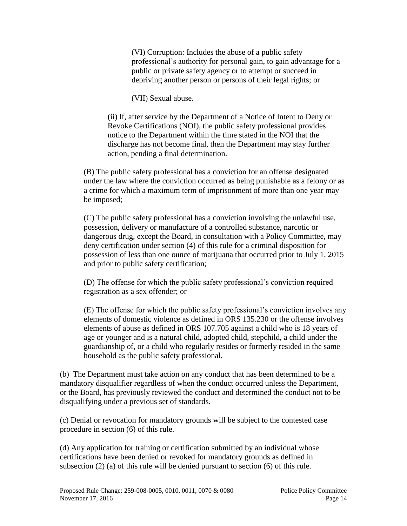(VI) Corruption: Includes the abuse of a public safety professional's authority for personal gain, to gain advantage for a public or private safety agency or to attempt or succeed in depriving another person or persons of their legal rights; or

(VII) Sexual abuse.

(ii) If, after service by the Department of a Notice of Intent to Deny or Revoke Certifications (NOI), the public safety professional provides notice to the Department within the time stated in the NOI that the discharge has not become final, then the Department may stay further action, pending a final determination.

(B) The public safety professional has a conviction for an offense designated under the law where the conviction occurred as being punishable as a felony or as a crime for which a maximum term of imprisonment of more than one year may be imposed;

(C) The public safety professional has a conviction involving the unlawful use, possession, delivery or manufacture of a controlled substance, narcotic or dangerous drug, except the Board, in consultation with a Policy Committee, may deny certification under section (4) of this rule for a criminal disposition for possession of less than one ounce of marijuana that occurred prior to July 1, 2015 and prior to public safety certification;

(D) The offense for which the public safety professional's conviction required registration as a sex offender; or

(E) The offense for which the public safety professional's conviction involves any elements of domestic violence as defined in ORS 135.230 or the offense involves elements of abuse as defined in ORS 107.705 against a child who is 18 years of age or younger and is a natural child, adopted child, stepchild, a child under the guardianship of, or a child who regularly resides or formerly resided in the same household as the public safety professional.

(b) The Department must take action on any conduct that has been determined to be a mandatory disqualifier regardless of when the conduct occurred unless the Department, or the Board, has previously reviewed the conduct and determined the conduct not to be disqualifying under a previous set of standards.

(c) Denial or revocation for mandatory grounds will be subject to the contested case procedure in section (6) of this rule.

(d) Any application for training or certification submitted by an individual whose certifications have been denied or revoked for mandatory grounds as defined in subsection (2) (a) of this rule will be denied pursuant to section (6) of this rule.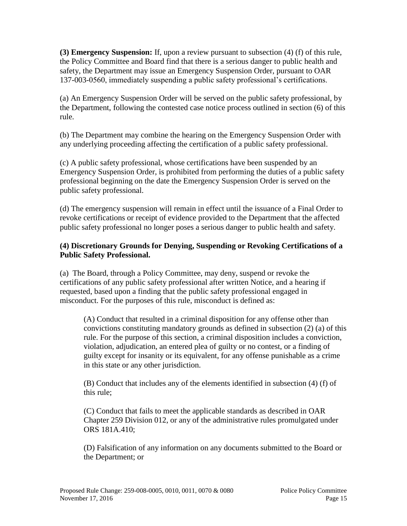**(3) Emergency Suspension:** If, upon a review pursuant to subsection (4) (f) of this rule, the Policy Committee and Board find that there is a serious danger to public health and safety, the Department may issue an Emergency Suspension Order, pursuant to OAR 137-003-0560, immediately suspending a public safety professional's certifications.

(a) An Emergency Suspension Order will be served on the public safety professional, by the Department, following the contested case notice process outlined in section (6) of this rule.

(b) The Department may combine the hearing on the Emergency Suspension Order with any underlying proceeding affecting the certification of a public safety professional.

(c) A public safety professional, whose certifications have been suspended by an Emergency Suspension Order, is prohibited from performing the duties of a public safety professional beginning on the date the Emergency Suspension Order is served on the public safety professional.

(d) The emergency suspension will remain in effect until the issuance of a Final Order to revoke certifications or receipt of evidence provided to the Department that the affected public safety professional no longer poses a serious danger to public health and safety.

# **(4) Discretionary Grounds for Denying, Suspending or Revoking Certifications of a Public Safety Professional.**

(a) The Board, through a Policy Committee, may deny, suspend or revoke the certifications of any public safety professional after written Notice, and a hearing if requested, based upon a finding that the public safety professional engaged in misconduct. For the purposes of this rule, misconduct is defined as:

(A) Conduct that resulted in a criminal disposition for any offense other than convictions constituting mandatory grounds as defined in subsection (2) (a) of this rule. For the purpose of this section, a criminal disposition includes a conviction, violation, adjudication, an entered plea of guilty or no contest, or a finding of guilty except for insanity or its equivalent, for any offense punishable as a crime in this state or any other jurisdiction.

(B) Conduct that includes any of the elements identified in subsection (4) (f) of this rule;

(C) Conduct that fails to meet the applicable standards as described in OAR Chapter 259 Division 012, or any of the administrative rules promulgated under ORS 181A.410;

(D) Falsification of any information on any documents submitted to the Board or the Department; or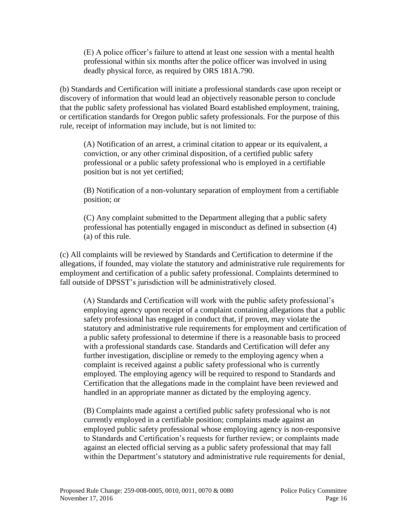(E) A police officer's failure to attend at least one session with a mental health professional within six months after the police officer was involved in using deadly physical force, as required by ORS 181A.790.

(b) Standards and Certification will initiate a professional standards case upon receipt or discovery of information that would lead an objectively reasonable person to conclude that the public safety professional has violated Board established employment, training, or certification standards for Oregon public safety professionals. For the purpose of this rule, receipt of information may include, but is not limited to:

(A) Notification of an arrest, a criminal citation to appear or its equivalent, a conviction, or any other criminal disposition, of a certified public safety professional or a public safety professional who is employed in a certifiable position but is not yet certified;

(B) Notification of a non-voluntary separation of employment from a certifiable position; or

(C) Any complaint submitted to the Department alleging that a public safety professional has potentially engaged in misconduct as defined in subsection (4) (a) of this rule.

(c) All complaints will be reviewed by Standards and Certification to determine if the allegations, if founded, may violate the statutory and administrative rule requirements for employment and certification of a public safety professional. Complaints determined to fall outside of DPSST's jurisdiction will be administratively closed.

(A) Standards and Certification will work with the public safety professional's employing agency upon receipt of a complaint containing allegations that a public safety professional has engaged in conduct that, if proven, may violate the statutory and administrative rule requirements for employment and certification of a public safety professional to determine if there is a reasonable basis to proceed with a professional standards case. Standards and Certification will defer any further investigation, discipline or remedy to the employing agency when a complaint is received against a public safety professional who is currently employed. The employing agency will be required to respond to Standards and Certification that the allegations made in the complaint have been reviewed and handled in an appropriate manner as dictated by the employing agency.

(B) Complaints made against a certified public safety professional who is not currently employed in a certifiable position; complaints made against an employed public safety professional whose employing agency is non-responsive to Standards and Certification's requests for further review; or complaints made against an elected official serving as a public safety professional that may fall within the Department's statutory and administrative rule requirements for denial,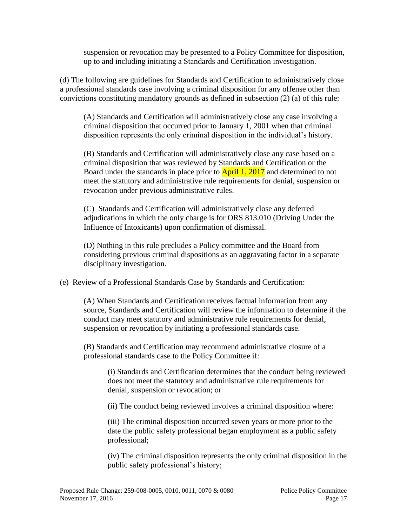suspension or revocation may be presented to a Policy Committee for disposition, up to and including initiating a Standards and Certification investigation.

(d) The following are guidelines for Standards and Certification to administratively close a professional standards case involving a criminal disposition for any offense other than convictions constituting mandatory grounds as defined in subsection (2) (a) of this rule:

(A) Standards and Certification will administratively close any case involving a criminal disposition that occurred prior to January 1, 2001 when that criminal disposition represents the only criminal disposition in the individual's history.

(B) Standards and Certification will administratively close any case based on a criminal disposition that was reviewed by Standards and Certification or the Board under the standards in place prior to **April 1, 2017** and determined to not meet the statutory and administrative rule requirements for denial, suspension or revocation under previous administrative rules.

(C) Standards and Certification will administratively close any deferred adjudications in which the only charge is for ORS 813.010 (Driving Under the Influence of Intoxicants) upon confirmation of dismissal.

(D) Nothing in this rule precludes a Policy committee and the Board from considering previous criminal dispositions as an aggravating factor in a separate disciplinary investigation.

(e) Review of a Professional Standards Case by Standards and Certification:

(A) When Standards and Certification receives factual information from any source, Standards and Certification will review the information to determine if the conduct may meet statutory and administrative rule requirements for denial, suspension or revocation by initiating a professional standards case.

(B) Standards and Certification may recommend administrative closure of a professional standards case to the Policy Committee if:

(i) Standards and Certification determines that the conduct being reviewed does not meet the statutory and administrative rule requirements for denial, suspension or revocation; or

(ii) The conduct being reviewed involves a criminal disposition where:

(iii) The criminal disposition occurred seven years or more prior to the date the public safety professional began employment as a public safety professional;

(iv) The criminal disposition represents the only criminal disposition in the public safety professional's history;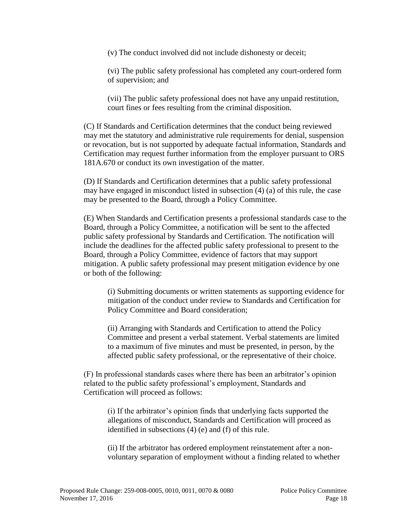(v) The conduct involved did not include dishonesty or deceit;

(vi) The public safety professional has completed any court-ordered form of supervision; and

(vii) The public safety professional does not have any unpaid restitution, court fines or fees resulting from the criminal disposition.

(C) If Standards and Certification determines that the conduct being reviewed may met the statutory and administrative rule requirements for denial, suspension or revocation, but is not supported by adequate factual information, Standards and Certification may request further information from the employer pursuant to ORS 181A.670 or conduct its own investigation of the matter.

(D) If Standards and Certification determines that a public safety professional may have engaged in misconduct listed in subsection (4) (a) of this rule, the case may be presented to the Board, through a Policy Committee.

(E) When Standards and Certification presents a professional standards case to the Board, through a Policy Committee, a notification will be sent to the affected public safety professional by Standards and Certification. The notification will include the deadlines for the affected public safety professional to present to the Board, through a Policy Committee, evidence of factors that may support mitigation. A public safety professional may present mitigation evidence by one or both of the following:

(i) Submitting documents or written statements as supporting evidence for mitigation of the conduct under review to Standards and Certification for Policy Committee and Board consideration;

(ii) Arranging with Standards and Certification to attend the Policy Committee and present a verbal statement. Verbal statements are limited to a maximum of five minutes and must be presented, in person, by the affected public safety professional, or the representative of their choice.

(F) In professional standards cases where there has been an arbitrator's opinion related to the public safety professional's employment, Standards and Certification will proceed as follows:

(i) If the arbitrator's opinion finds that underlying facts supported the allegations of misconduct, Standards and Certification will proceed as identified in subsections (4) (e) and (f) of this rule.

(ii) If the arbitrator has ordered employment reinstatement after a nonvoluntary separation of employment without a finding related to whether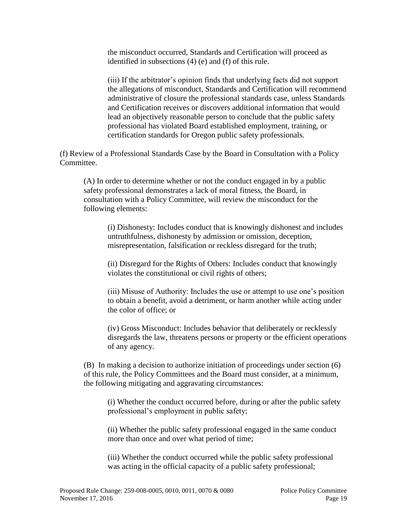the misconduct occurred, Standards and Certification will proceed as identified in subsections (4) (e) and (f) of this rule.

(iii) If the arbitrator's opinion finds that underlying facts did not support the allegations of misconduct, Standards and Certification will recommend administrative of closure the professional standards case, unless Standards and Certification receives or discovers additional information that would lead an objectively reasonable person to conclude that the public safety professional has violated Board established employment, training, or certification standards for Oregon public safety professionals.

(f) Review of a Professional Standards Case by the Board in Consultation with a Policy Committee.

(A) In order to determine whether or not the conduct engaged in by a public safety professional demonstrates a lack of moral fitness, the Board, in consultation with a Policy Committee, will review the misconduct for the following elements:

(i) Dishonesty: Includes conduct that is knowingly dishonest and includes untruthfulness, dishonesty by admission or omission, deception, misrepresentation, falsification or reckless disregard for the truth;

(ii) Disregard for the Rights of Others: Includes conduct that knowingly violates the constitutional or civil rights of others;

(iii) Misuse of Authority: Includes the use or attempt to use one's position to obtain a benefit, avoid a detriment, or harm another while acting under the color of office; or

(iv) Gross Misconduct: Includes behavior that deliberately or recklessly disregards the law, threatens persons or property or the efficient operations of any agency.

(B) In making a decision to authorize initiation of proceedings under section (6) of this rule, the Policy Committees and the Board must consider, at a minimum, the following mitigating and aggravating circumstances:

(i) Whether the conduct occurred before, during or after the public safety professional's employment in public safety;

(ii) Whether the public safety professional engaged in the same conduct more than once and over what period of time;

(iii) Whether the conduct occurred while the public safety professional was acting in the official capacity of a public safety professional;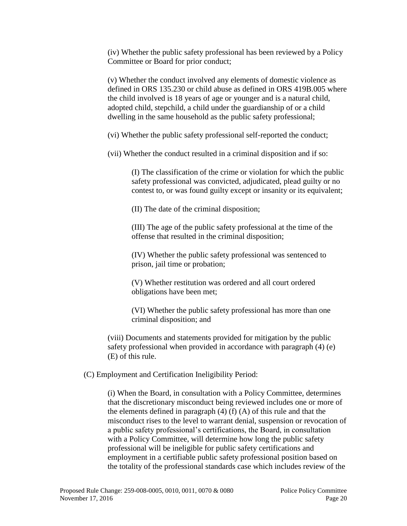(iv) Whether the public safety professional has been reviewed by a Policy Committee or Board for prior conduct;

(v) Whether the conduct involved any elements of domestic violence as defined in ORS 135.230 or child abuse as defined in ORS 419B.005 where the child involved is 18 years of age or younger and is a natural child, adopted child, stepchild, a child under the guardianship of or a child dwelling in the same household as the public safety professional;

(vi) Whether the public safety professional self-reported the conduct;

(vii) Whether the conduct resulted in a criminal disposition and if so:

(I) The classification of the crime or violation for which the public safety professional was convicted, adjudicated, plead guilty or no contest to, or was found guilty except or insanity or its equivalent;

(II) The date of the criminal disposition;

(III) The age of the public safety professional at the time of the offense that resulted in the criminal disposition;

(IV) Whether the public safety professional was sentenced to prison, jail time or probation;

(V) Whether restitution was ordered and all court ordered obligations have been met;

(VI) Whether the public safety professional has more than one criminal disposition; and

(viii) Documents and statements provided for mitigation by the public safety professional when provided in accordance with paragraph (4) (e) (E) of this rule.

(C) Employment and Certification Ineligibility Period:

(i) When the Board, in consultation with a Policy Committee, determines that the discretionary misconduct being reviewed includes one or more of the elements defined in paragraph  $(4)$  (f)  $(A)$  of this rule and that the misconduct rises to the level to warrant denial, suspension or revocation of a public safety professional's certifications, the Board, in consultation with a Policy Committee, will determine how long the public safety professional will be ineligible for public safety certifications and employment in a certifiable public safety professional position based on the totality of the professional standards case which includes review of the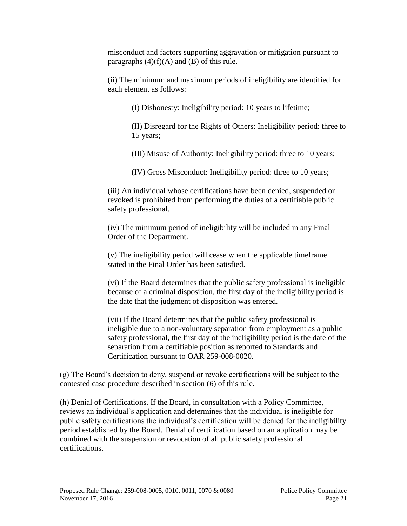misconduct and factors supporting aggravation or mitigation pursuant to paragraphs  $(4)(f)(A)$  and  $(B)$  of this rule.

(ii) The minimum and maximum periods of ineligibility are identified for each element as follows:

(I) Dishonesty: Ineligibility period: 10 years to lifetime;

(II) Disregard for the Rights of Others: Ineligibility period: three to 15 years;

(III) Misuse of Authority: Ineligibility period: three to 10 years;

(IV) Gross Misconduct: Ineligibility period: three to 10 years;

(iii) An individual whose certifications have been denied, suspended or revoked is prohibited from performing the duties of a certifiable public safety professional.

(iv) The minimum period of ineligibility will be included in any Final Order of the Department.

(v) The ineligibility period will cease when the applicable timeframe stated in the Final Order has been satisfied.

(vi) If the Board determines that the public safety professional is ineligible because of a criminal disposition, the first day of the ineligibility period is the date that the judgment of disposition was entered.

(vii) If the Board determines that the public safety professional is ineligible due to a non-voluntary separation from employment as a public safety professional, the first day of the ineligibility period is the date of the separation from a certifiable position as reported to Standards and Certification pursuant to OAR 259-008-0020.

(g) The Board's decision to deny, suspend or revoke certifications will be subject to the contested case procedure described in section (6) of this rule.

(h) Denial of Certifications. If the Board, in consultation with a Policy Committee, reviews an individual's application and determines that the individual is ineligible for public safety certifications the individual's certification will be denied for the ineligibility period established by the Board. Denial of certification based on an application may be combined with the suspension or revocation of all public safety professional certifications.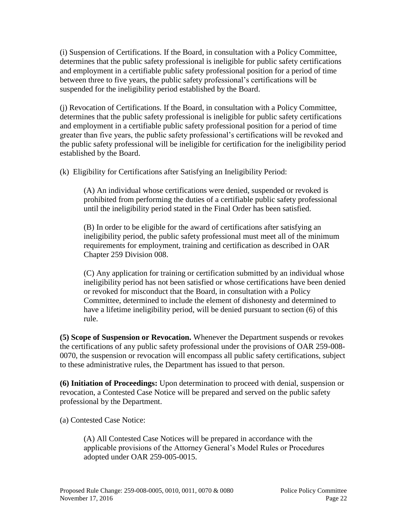(i) Suspension of Certifications. If the Board, in consultation with a Policy Committee, determines that the public safety professional is ineligible for public safety certifications and employment in a certifiable public safety professional position for a period of time between three to five years, the public safety professional's certifications will be suspended for the ineligibility period established by the Board.

(j) Revocation of Certifications. If the Board, in consultation with a Policy Committee, determines that the public safety professional is ineligible for public safety certifications and employment in a certifiable public safety professional position for a period of time greater than five years, the public safety professional's certifications will be revoked and the public safety professional will be ineligible for certification for the ineligibility period established by the Board.

(k) Eligibility for Certifications after Satisfying an Ineligibility Period:

(A) An individual whose certifications were denied, suspended or revoked is prohibited from performing the duties of a certifiable public safety professional until the ineligibility period stated in the Final Order has been satisfied.

(B) In order to be eligible for the award of certifications after satisfying an ineligibility period, the public safety professional must meet all of the minimum requirements for employment, training and certification as described in OAR Chapter 259 Division 008.

(C) Any application for training or certification submitted by an individual whose ineligibility period has not been satisfied or whose certifications have been denied or revoked for misconduct that the Board, in consultation with a Policy Committee, determined to include the element of dishonesty and determined to have a lifetime ineligibility period, will be denied pursuant to section (6) of this rule.

**(5) Scope of Suspension or Revocation.** Whenever the Department suspends or revokes the certifications of any public safety professional under the provisions of OAR 259-008- 0070, the suspension or revocation will encompass all public safety certifications, subject to these administrative rules, the Department has issued to that person.

**(6) Initiation of Proceedings:** Upon determination to proceed with denial, suspension or revocation, a Contested Case Notice will be prepared and served on the public safety professional by the Department.

(a) Contested Case Notice:

(A) All Contested Case Notices will be prepared in accordance with the applicable provisions of the Attorney General's Model Rules or Procedures adopted under OAR 259-005-0015.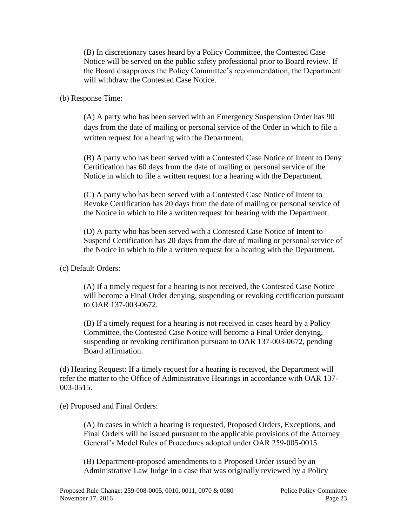(B) In discretionary cases heard by a Policy Committee, the Contested Case Notice will be served on the public safety professional prior to Board review. If the Board disapproves the Policy Committee's recommendation, the Department will withdraw the Contested Case Notice.

(b) Response Time:

(A) A party who has been served with an Emergency Suspension Order has 90 days from the date of mailing or personal service of the Order in which to file a written request for a hearing with the Department.

(B) A party who has been served with a Contested Case Notice of Intent to Deny Certification has 60 days from the date of mailing or personal service of the Notice in which to file a written request for a hearing with the Department.

(C) A party who has been served with a Contested Case Notice of Intent to Revoke Certification has 20 days from the date of mailing or personal service of the Notice in which to file a written request for hearing with the Department.

(D) A party who has been served with a Contested Case Notice of Intent to Suspend Certification has 20 days from the date of mailing or personal service of the Notice in which to file a written request for a hearing with the Department.

(c) Default Orders:

(A) If a timely request for a hearing is not received, the Contested Case Notice will become a Final Order denying, suspending or revoking certification pursuant to OAR 137-003-0672.

(B) If a timely request for a hearing is not received in cases heard by a Policy Committee, the Contested Case Notice will become a Final Order denying, suspending or revoking certification pursuant to OAR 137-003-0672, pending Board affirmation.

(d) Hearing Request: If a timely request for a hearing is received, the Department will refer the matter to the Office of Administrative Hearings in accordance with OAR 137- 003-0515.

(e) Proposed and Final Orders:

(A) In cases in which a hearing is requested, Proposed Orders, Exceptions, and Final Orders will be issued pursuant to the applicable provisions of the Attorney General's Model Rules of Procedures adopted under OAR 259-005-0015.

(B) Department-proposed amendments to a Proposed Order issued by an Administrative Law Judge in a case that was originally reviewed by a Policy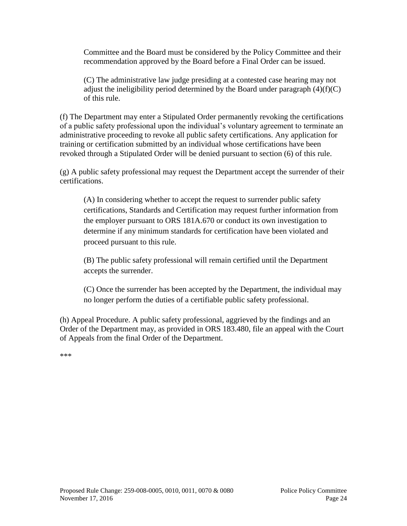Committee and the Board must be considered by the Policy Committee and their recommendation approved by the Board before a Final Order can be issued.

(C) The administrative law judge presiding at a contested case hearing may not adjust the ineligibility period determined by the Board under paragraph  $(4)(f)(C)$ of this rule.

(f) The Department may enter a Stipulated Order permanently revoking the certifications of a public safety professional upon the individual's voluntary agreement to terminate an administrative proceeding to revoke all public safety certifications. Any application for training or certification submitted by an individual whose certifications have been revoked through a Stipulated Order will be denied pursuant to section (6) of this rule.

(g) A public safety professional may request the Department accept the surrender of their certifications.

(A) In considering whether to accept the request to surrender public safety certifications, Standards and Certification may request further information from the employer pursuant to ORS 181A.670 or conduct its own investigation to determine if any minimum standards for certification have been violated and proceed pursuant to this rule.

(B) The public safety professional will remain certified until the Department accepts the surrender.

(C) Once the surrender has been accepted by the Department, the individual may no longer perform the duties of a certifiable public safety professional.

(h) Appeal Procedure. A public safety professional, aggrieved by the findings and an Order of the Department may, as provided in ORS 183.480, file an appeal with the Court of Appeals from the final Order of the Department.

\*\*\*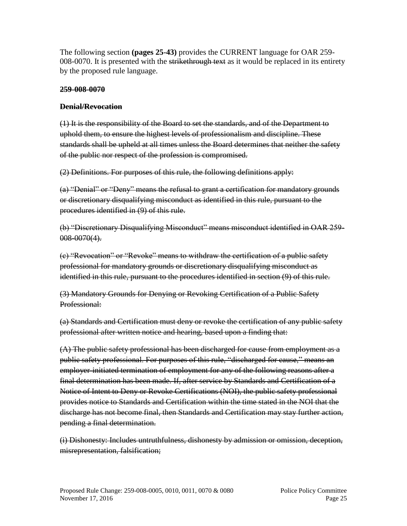The following section **(pages 25-43)** provides the CURRENT language for OAR 259- 008-0070. It is presented with the strikethrough text as it would be replaced in its entirety by the proposed rule language.

# **259-008-0070**

# **Denial/Revocation**

(1) It is the responsibility of the Board to set the standards, and of the Department to uphold them, to ensure the highest levels of professionalism and discipline. These standards shall be upheld at all times unless the Board determines that neither the safety of the public nor respect of the profession is compromised.

(2) Definitions. For purposes of this rule, the following definitions apply:

(a) "Denial" or "Deny" means the refusal to grant a certification for mandatory grounds or discretionary disqualifying misconduct as identified in this rule, pursuant to the procedures identified in (9) of this rule.

(b) "Discretionary Disqualifying Misconduct" means misconduct identified in OAR 259- 008-0070(4).

(c) "Revocation" or "Revoke" means to withdraw the certification of a public safety professional for mandatory grounds or discretionary disqualifying misconduct as identified in this rule, pursuant to the procedures identified in section (9) of this rule.

(3) Mandatory Grounds for Denying or Revoking Certification of a Public Safety Professional:

(a) Standards and Certification must deny or revoke the certification of any public safety professional after written notice and hearing, based upon a finding that:

(A) The public safety professional has been discharged for cause from employment as a public safety professional. For purposes of this rule, "discharged for cause," means an employer-initiated termination of employment for any of the following reasons after a final determination has been made. If, after service by Standards and Certification of a Notice of Intent to Deny or Revoke Certifications (NOI), the public safety professional provides notice to Standards and Certification within the time stated in the NOI that the discharge has not become final, then Standards and Certification may stay further action, pending a final determination.

(i) Dishonesty: Includes untruthfulness, dishonesty by admission or omission, deception, misrepresentation, falsification;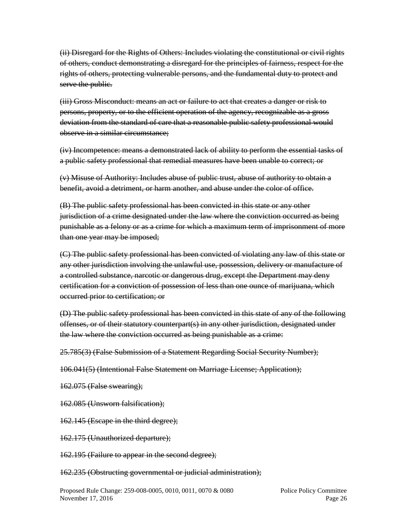(ii) Disregard for the Rights of Others: Includes violating the constitutional or civil rights of others, conduct demonstrating a disregard for the principles of fairness, respect for the rights of others, protecting vulnerable persons, and the fundamental duty to protect and serve the public.

(iii) Gross Misconduct: means an act or failure to act that creates a danger or risk to persons, property, or to the efficient operation of the agency, recognizable as a gross deviation from the standard of care that a reasonable public safety professional would observe in a similar circumstance;

(iv) Incompetence: means a demonstrated lack of ability to perform the essential tasks of a public safety professional that remedial measures have been unable to correct; or

(v) Misuse of Authority: Includes abuse of public trust, abuse of authority to obtain a benefit, avoid a detriment, or harm another, and abuse under the color of office.

(B) The public safety professional has been convicted in this state or any other jurisdiction of a crime designated under the law where the conviction occurred as being punishable as a felony or as a crime for which a maximum term of imprisonment of more than one year may be imposed;

(C) The public safety professional has been convicted of violating any law of this state or any other jurisdiction involving the unlawful use, possession, delivery or manufacture of a controlled substance, narcotic or dangerous drug, except the Department may deny certification for a conviction of possession of less than one ounce of marijuana, which occurred prior to certification; or

(D) The public safety professional has been convicted in this state of any of the following offenses, or of their statutory counterpart(s) in any other jurisdiction, designated under the law where the conviction occurred as being punishable as a crime:

25.785(3) (False Submission of a Statement Regarding Social Security Number);

106.041(5) (Intentional False Statement on Marriage License; Application);

162.075 (False swearing);

162.085 (Unsworn falsification);

162.145 (Escape in the third degree);

162.175 (Unauthorized departure);

162.195 (Failure to appear in the second degree);

162.235 (Obstructing governmental or judicial administration);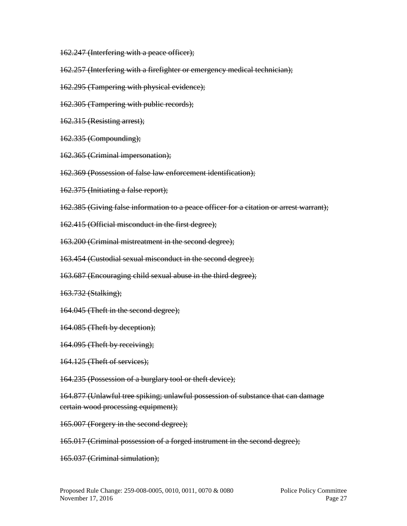162.247 (Interfering with a peace officer);

- 162.257 (Interfering with a firefighter or emergency medical technician);
- 162.295 (Tampering with physical evidence);
- 162.305 (Tampering with public records);
- 162.315 (Resisting arrest);
- 162.335 (Compounding);
- 162.365 (Criminal impersonation);
- 162.369 (Possession of false law enforcement identification);
- 162.375 (Initiating a false report);
- 162.385 (Giving false information to a peace officer for a citation or arrest warrant);
- 162.415 (Official misconduct in the first degree);
- 163.200 (Criminal mistreatment in the second degree);
- 163.454 (Custodial sexual misconduct in the second degree);
- 163.687 (Encouraging child sexual abuse in the third degree);
- 163.732 (Stalking);
- 164.045 (Theft in the second degree);
- 164.085 (Theft by deception);
- 164.095 (Theft by receiving);
- 164.125 (Theft of services);
- 164.235 (Possession of a burglary tool or theft device);
- 164.877 (Unlawful tree spiking; unlawful possession of substance that can damage certain wood processing equipment);
- 165.007 (Forgery in the second degree);
- 165.017 (Criminal possession of a forged instrument in the second degree);
- 165.037 (Criminal simulation);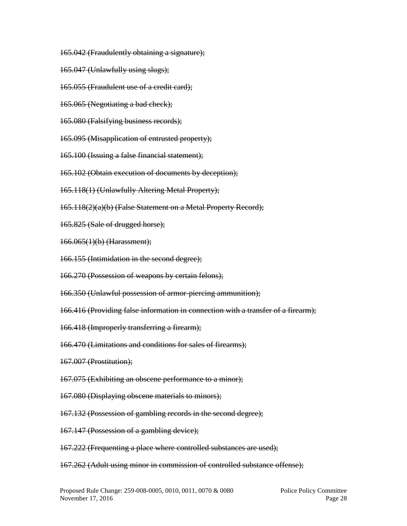- 165.042 (Fraudulently obtaining a signature);
- 165.047 (Unlawfully using slugs);
- 165.055 (Fraudulent use of a credit card);
- 165.065 (Negotiating a bad check);
- 165.080 (Falsifying business records);
- 165.095 (Misapplication of entrusted property);
- 165.100 (Issuing a false financial statement);
- 165.102 (Obtain execution of documents by deception);
- 165.118(1) (Unlawfully Altering Metal Property);
- 165.118(2)(a)(b) (False Statement on a Metal Property Record);
- 165.825 (Sale of drugged horse);
- 166.065(1)(b) (Harassment);
- 166.155 (Intimidation in the second degree);
- 166.270 (Possession of weapons by certain felons);
- 166.350 (Unlawful possession of armor-piercing ammunition);
- 166.416 (Providing false information in connection with a transfer of a firearm);
- 166.418 (Improperly transferring a firearm);
- 166.470 (Limitations and conditions for sales of firearms);
- 167.007 (Prostitution);
- 167.075 (Exhibiting an obscene performance to a minor);
- 167.080 (Displaying obscene materials to minors);
- 167.132 (Possession of gambling records in the second degree);
- 167.147 (Possession of a gambling device);
- 167.222 (Frequenting a place where controlled substances are used);
- 167.262 (Adult using minor in commission of controlled substance offense);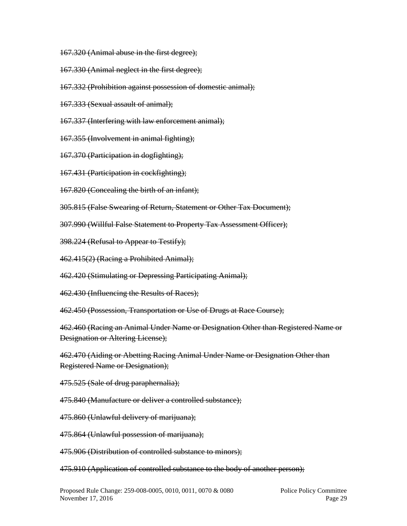- 167.320 (Animal abuse in the first degree);
- 167.330 (Animal neglect in the first degree);
- 167.332 (Prohibition against possession of domestic animal);
- 167.333 (Sexual assault of animal);
- 167.337 (Interfering with law enforcement animal);
- 167.355 (Involvement in animal fighting);
- 167.370 (Participation in dogfighting);
- 167.431 (Participation in cockfighting);
- 167.820 (Concealing the birth of an infant);
- 305.815 (False Swearing of Return, Statement or Other Tax Document);
- 307.990 (Willful False Statement to Property Tax Assessment Officer);
- 398.224 (Refusal to Appear to Testify);
- 462.415(2) (Racing a Prohibited Animal);
- 462.420 (Stimulating or Depressing Participating Animal);
- 462.430 (Influencing the Results of Races);
- 462.450 (Possession, Transportation or Use of Drugs at Race Course);
- 462.460 (Racing an Animal Under Name or Designation Other than Registered Name or Designation or Altering License);
- 462.470 (Aiding or Abetting Racing Animal Under Name or Designation Other than Registered Name or Designation);
- 475.525 (Sale of drug paraphernalia);
- 475.840 (Manufacture or deliver a controlled substance);
- 475.860 (Unlawful delivery of marijuana);
- 475.864 (Unlawful possession of marijuana);
- 475.906 (Distribution of controlled substance to minors);
- 475.910 (Application of controlled substance to the body of another person);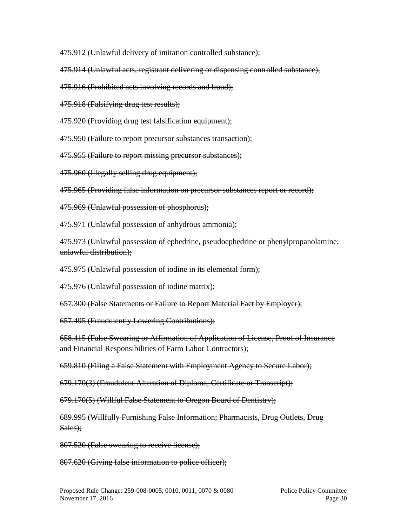475.912 (Unlawful delivery of imitation controlled substance);

475.914 (Unlawful acts, registrant delivering or dispensing controlled substance);

475.916 (Prohibited acts involving records and fraud);

475.918 (Falsifying drug test results);

475.920 (Providing drug test falsification equipment);

475.950 (Failure to report precursor substances transaction);

475.955 (Failure to report missing precursor substances);

475.960 (Illegally selling drug equipment);

475.965 (Providing false information on precursor substances report or record);

475.969 (Unlawful possession of phosphorus);

475.971 (Unlawful possession of anhydrous ammonia);

475.973 (Unlawful possession of ephedrine, pseudoephedrine or phenylpropanolamine; unlawful distribution);

475.975 (Unlawful possession of iodine in its elemental form);

475.976 (Unlawful possession of iodine matrix);

657.300 (False Statements or Failure to Report Material Fact by Employer);

657.495 (Fraudulently Lowering Contributions);

658.415 (False Swearing or Affirmation of Application of License, Proof of Insurance and Financial Responsibilities of Farm Labor Contractors);

659.810 (Filing a False Statement with Employment Agency to Secure Labor);

679.170(3) (Fraudulent Alteration of Diploma, Certificate or Transcript);

679.170(5) (Willful False Statement to Oregon Board of Dentistry);

689.995 (Willfully Furnishing False Information; Pharmacists, Drug Outlets, Drug Sales):

807.520 (False swearing to receive license);

807.620 (Giving false information to police officer);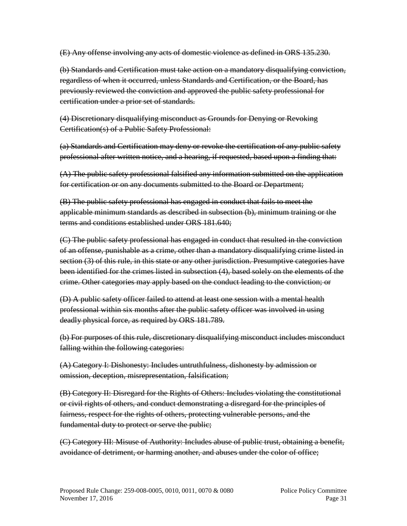(E) Any offense involving any acts of domestic violence as defined in ORS 135.230.

(b) Standards and Certification must take action on a mandatory disqualifying conviction, regardless of when it occurred, unless Standards and Certification, or the Board, has previously reviewed the conviction and approved the public safety professional for certification under a prior set of standards.

(4) Discretionary disqualifying misconduct as Grounds for Denying or Revoking Certification(s) of a Public Safety Professional:

(a) Standards and Certification may deny or revoke the certification of any public safety professional after written notice, and a hearing, if requested, based upon a finding that:

(A) The public safety professional falsified any information submitted on the application for certification or on any documents submitted to the Board or Department;

(B) The public safety professional has engaged in conduct that fails to meet the applicable minimum standards as described in subsection (b), minimum training or the terms and conditions established under ORS 181.640;

(C) The public safety professional has engaged in conduct that resulted in the conviction of an offense, punishable as a crime, other than a mandatory disqualifying crime listed in section (3) of this rule, in this state or any other jurisdiction. Presumptive categories have been identified for the crimes listed in subsection (4), based solely on the elements of the crime. Other categories may apply based on the conduct leading to the conviction; or

(D) A public safety officer failed to attend at least one session with a mental health professional within six months after the public safety officer was involved in using deadly physical force, as required by ORS 181.789.

(b) For purposes of this rule, discretionary disqualifying misconduct includes misconduct falling within the following categories:

(A) Category I: Dishonesty: Includes untruthfulness, dishonesty by admission or omission, deception, misrepresentation, falsification;

(B) Category II: Disregard for the Rights of Others: Includes violating the constitutional or civil rights of others, and conduct demonstrating a disregard for the principles of fairness, respect for the rights of others, protecting vulnerable persons, and the fundamental duty to protect or serve the public;

(C) Category III: Misuse of Authority: Includes abuse of public trust, obtaining a benefit, avoidance of detriment, or harming another, and abuses under the color of office;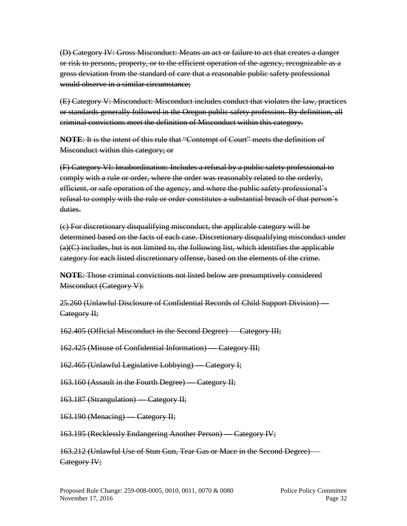(D) Category IV: Gross Misconduct: Means an act or failure to act that creates a danger or risk to persons, property, or to the efficient operation of the agency, recognizable as a gross deviation from the standard of care that a reasonable public safety professional would observe in a similar circumstance;

(E) Category V: Misconduct: Misconduct includes conduct that violates the law, practices or standards generally followed in the Oregon public safety profession. By definition, all criminal convictions meet the definition of Misconduct within this category.

**NOTE**: It is the intent of this rule that "Contempt of Court" meets the definition of Misconduct within this category; or

(F) Category VI: Insubordination: Includes a refusal by a public safety professional to comply with a rule or order, where the order was reasonably related to the orderly, efficient, or safe operation of the agency, and where the public safety professional's refusal to comply with the rule or order constitutes a substantial breach of that person's duties.

(c) For discretionary disqualifying misconduct, the applicable category will be determined based on the facts of each case. Discretionary disqualifying misconduct under (a)(C) includes, but is not limited to, the following list, which identifies the applicable category for each listed discretionary offense, based on the elements of the crime.

**NOTE**: Those criminal convictions not listed below are presumptively considered Misconduct (Category V):

25.260 (Unlawful Disclosure of Confidential Records of Child Support Division) — Category II;

162.405 (Official Misconduct in the Second Degree) — Category III;

162.425 (Misuse of Confidential Information) — Category III;

162.465 (Unlawful Legislative Lobbying) — Category I;

163.160 (Assault in the Fourth Degree) — Category II;

163.187 (Strangulation) — Category II;

163.190 (Menacing) — Category II;

163.195 (Recklessly Endangering Another Person) — Category IV;

163.212 (Unlawful Use of Stun Gun, Tear Gas or Mace in the Second Degree) — Category IV;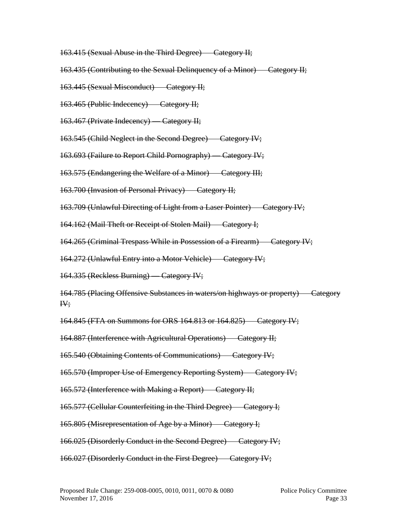- 163.415 (Sexual Abuse in the Third Degree) Category II;
- 163.435 (Contributing to the Sexual Delinquency of a Minor) Category II;
- 163.445 (Sexual Misconduct) Category II;
- 163.465 (Public Indecency) Category II;
- 163.467 (Private Indecency) Category II;
- 163.545 (Child Neglect in the Second Degree) Category IV;
- 163.693 (Failure to Report Child Pornography) Category IV;
- 163.575 (Endangering the Welfare of a Minor) Category III;
- 163.700 (Invasion of Personal Privacy) Category II;
- 163.709 (Unlawful Directing of Light from a Laser Pointer) Category IV;
- 164.162 (Mail Theft or Receipt of Stolen Mail) Category I;
- 164.265 (Criminal Trespass While in Possession of a Firearm) Category IV;
- 164.272 (Unlawful Entry into a Motor Vehicle) Category IV;
- 164.335 (Reckless Burning) Category IV;
- 164.785 (Placing Offensive Substances in waters/on highways or property) Category IV;
- 164.845 (FTA on Summons for ORS 164.813 or 164.825) Category IV;
- 164.887 (Interference with Agricultural Operations) Category II;
- 165.540 (Obtaining Contents of Communications) Category IV;
- 165.570 (Improper Use of Emergency Reporting System) Category IV;
- 165.572 (Interference with Making a Report) Category II;
- 165.577 (Cellular Counterfeiting in the Third Degree) Category I;
- 165.805 (Misrepresentation of Age by a Minor) Category I;
- 166.025 (Disorderly Conduct in the Second Degree) Category IV;
- 166.027 (Disorderly Conduct in the First Degree) Category IV;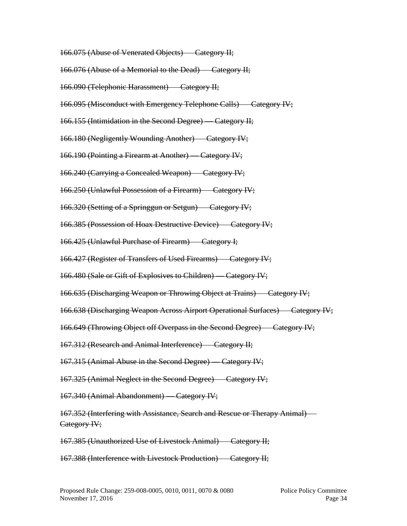166.075 (Abuse of Venerated Objects) — Category II;

166.076 (Abuse of a Memorial to the Dead) — Category II;

166.090 (Telephonic Harassment) — Category II;

166.095 (Misconduct with Emergency Telephone Calls) — Category IV;

166.155 (Intimidation in the Second Degree) — Category II;

166.180 (Negligently Wounding Another) — Category IV;

166.190 (Pointing a Firearm at Another) — Category IV;

166.240 (Carrying a Concealed Weapon) — Category IV;

166.250 (Unlawful Possession of a Firearm) — Category IV;

166.320 (Setting of a Springgun or Setgun) — Category IV;

166.385 (Possession of Hoax Destructive Device) — Category IV;

166.425 (Unlawful Purchase of Firearm) — Category I;

166.427 (Register of Transfers of Used Firearms) — Category IV;

166.480 (Sale or Gift of Explosives to Children) — Category IV;

166.635 (Discharging Weapon or Throwing Object at Trains) — Category IV;

166.638 (Discharging Weapon Across Airport Operational Surfaces) — Category IV;

166.649 (Throwing Object off Overpass in the Second Degree) — Category IV;

167.312 (Research and Animal Interference) — Category II;

167.315 (Animal Abuse in the Second Degree) — Category IV;

167.325 (Animal Neglect in the Second Degree) — Category IV;

167.340 (Animal Abandonment) — Category IV;

167.352 (Interfering with Assistance, Search and Rescue or Therapy Animal) — Category IV;

167.385 (Unauthorized Use of Livestock Animal) — Category II;

167.388 (Interference with Livestock Production) — Category II;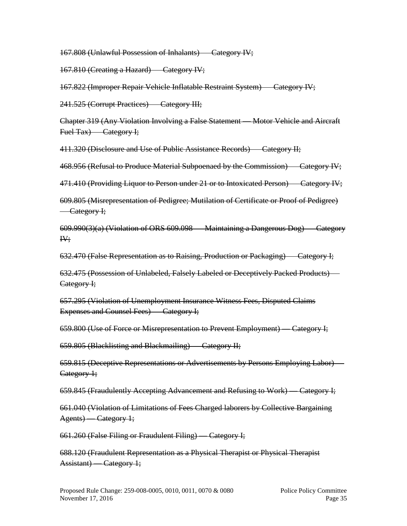167.808 (Unlawful Possession of Inhalants) — Category IV;

167.810 (Creating a Hazard) — Category IV;

167.822 (Improper Repair Vehicle Inflatable Restraint System) — Category IV;

241.525 (Corrupt Practices) — Category III;

Chapter 319 (Any Violation Involving a False Statement — Motor Vehicle and Aircraft Fuel Tax) Category I;

411.320 (Disclosure and Use of Public Assistance Records) — Category II;

468.956 (Refusal to Produce Material Subpoenaed by the Commission) — Category IV;

471.410 (Providing Liquor to Person under 21 or to Intoxicated Person) — Category IV;

609.805 (Misrepresentation of Pedigree; Mutilation of Certificate or Proof of Pedigree) — Category I;

609.990(3)(a) (Violation of ORS 609.098 — Maintaining a Dangerous Dog) — Category IV;

632.470 (False Representation as to Raising, Production or Packaging) — Category I;

632.475 (Possession of Unlabeled, Falsely Labeled or Deceptively Packed Products) — Category I;

657.295 (Violation of Unemployment Insurance Witness Fees, Disputed Claims Expenses and Counsel Fees) — Category I;

659.800 (Use of Force or Misrepresentation to Prevent Employment) — Category I;

659.805 (Blacklisting and Blackmailing) — Category II;

659.815 (Deceptive Representations or Advertisements by Persons Employing Labor) — Category 1;

659.845 (Fraudulently Accepting Advancement and Refusing to Work) — Category I;

661.040 (Violation of Limitations of Fees Charged laborers by Collective Bargaining Agents) — Category 1;

661.260 (False Filing or Fraudulent Filing) — Category I;

688.120 (Fraudulent Representation as a Physical Therapist or Physical Therapist Assistant) — Category 1;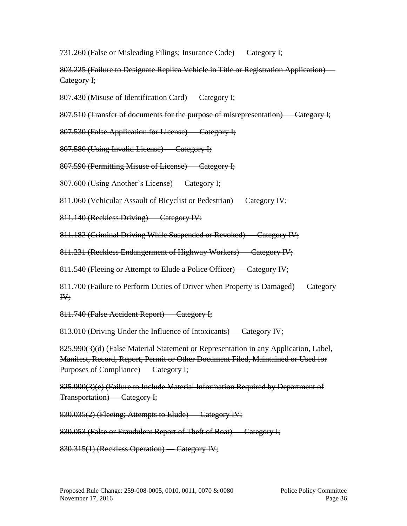731.260 (False or Misleading Filings; Insurance Code) — Category I;

803.225 (Failure to Designate Replica Vehicle in Title or Registration Application) — Category I;

807.430 (Misuse of Identification Card) — Category I;

807.510 (Transfer of documents for the purpose of misrepresentation) — Category I;

807.530 (False Application for License) — Category I;

807.580 (Using Invalid License) — Category I;

807.590 (Permitting Misuse of License) — Category I;

807.600 (Using Another's License) — Category I;

811.060 (Vehicular Assault of Bicyclist or Pedestrian) — Category IV;

811.140 (Reckless Driving) — Category IV;

811.182 (Criminal Driving While Suspended or Revoked) — Category IV;

811.231 (Reckless Endangerment of Highway Workers) — Category IV;

811.540 (Fleeing or Attempt to Elude a Police Officer) — Category IV;

811.700 (Failure to Perform Duties of Driver when Property is Damaged) — Category IV;

811.740 (False Accident Report) — Category I;

813.010 (Driving Under the Influence of Intoxicants) Category IV;

825.990(3)(d) (False Material Statement or Representation in any Application, Label, Manifest, Record, Report, Permit or Other Document Filed, Maintained or Used for Purposes of Compliance) — Category I;

825.990(3)(e) (Failure to Include Material Information Required by Department of Transportation) — Category I;

830.035(2) (Fleeing; Attempts to Elude) — Category IV;

830.053 (False or Fraudulent Report of Theft of Boat) — Category I;

830.315(1) (Reckless Operation) — Category IV;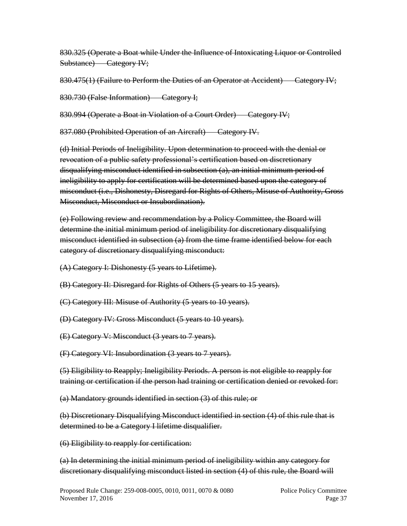830.325 (Operate a Boat while Under the Influence of Intoxicating Liquor or Controlled Substance) — Category IV;

830.475(1) (Failure to Perform the Duties of an Operator at Accident) Category IV;

830.730 (False Information) — Category I;

830.994 (Operate a Boat in Violation of a Court Order) — Category IV;

837.080 (Prohibited Operation of an Aircraft) — Category IV.

(d) Initial Periods of Ineligibility. Upon determination to proceed with the denial or revocation of a public safety professional's certification based on discretionary disqualifying misconduct identified in subsection (a), an initial minimum period of ineligibility to apply for certification will be determined based upon the category of misconduct (i.e., Dishonesty, Disregard for Rights of Others, Misuse of Authority, Gross Misconduct, Misconduct or Insubordination).

(e) Following review and recommendation by a Policy Committee, the Board will determine the initial minimum period of ineligibility for discretionary disqualifying misconduct identified in subsection (a) from the time frame identified below for each category of discretionary disqualifying misconduct:

(A) Category I: Dishonesty (5 years to Lifetime).

(B) Category II: Disregard for Rights of Others (5 years to 15 years).

(C) Category III: Misuse of Authority (5 years to 10 years).

(D) Category IV: Gross Misconduct (5 years to 10 years).

(E) Category V: Misconduct (3 years to 7 years).

(F) Category VI: Insubordination (3 years to 7 years).

(5) Eligibility to Reapply; Ineligibility Periods. A person is not eligible to reapply for training or certification if the person had training or certification denied or revoked for:

(a) Mandatory grounds identified in section (3) of this rule; or

(b) Discretionary Disqualifying Misconduct identified in section (4) of this rule that is determined to be a Category I lifetime disqualifier.

(6) Eligibility to reapply for certification:

(a) In determining the initial minimum period of ineligibility within any category for discretionary disqualifying misconduct listed in section (4) of this rule, the Board will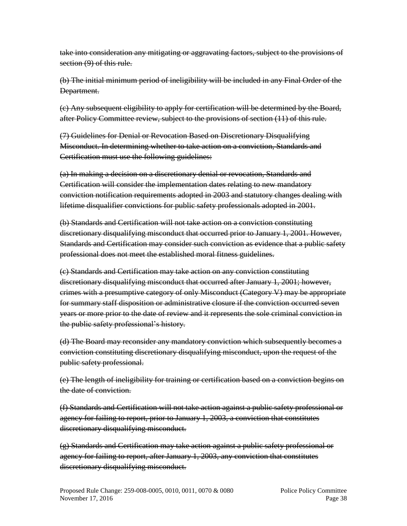take into consideration any mitigating or aggravating factors, subject to the provisions of section (9) of this rule.

(b) The initial minimum period of ineligibility will be included in any Final Order of the Department.

(c) Any subsequent eligibility to apply for certification will be determined by the Board, after Policy Committee review, subject to the provisions of section (11) of this rule.

(7) Guidelines for Denial or Revocation Based on Discretionary Disqualifying Misconduct. In determining whether to take action on a conviction, Standards and Certification must use the following guidelines:

(a) In making a decision on a discretionary denial or revocation, Standards and Certification will consider the implementation dates relating to new mandatory conviction notification requirements adopted in 2003 and statutory changes dealing with lifetime disqualifier convictions for public safety professionals adopted in 2001.

(b) Standards and Certification will not take action on a conviction constituting discretionary disqualifying misconduct that occurred prior to January 1, 2001. However, Standards and Certification may consider such conviction as evidence that a public safety professional does not meet the established moral fitness guidelines.

(c) Standards and Certification may take action on any conviction constituting discretionary disqualifying misconduct that occurred after January 1, 2001; however, crimes with a presumptive category of only Misconduct (Category V) may be appropriate for summary staff disposition or administrative closure if the conviction occurred seven years or more prior to the date of review and it represents the sole criminal conviction in the public safety professional's history.

(d) The Board may reconsider any mandatory conviction which subsequently becomes a conviction constituting discretionary disqualifying misconduct, upon the request of the public safety professional.

(e) The length of ineligibility for training or certification based on a conviction begins on the date of conviction.

(f) Standards and Certification will not take action against a public safety professional or agency for failing to report, prior to January 1, 2003, a conviction that constitutes discretionary disqualifying misconduct.

(g) Standards and Certification may take action against a public safety professional or agency for failing to report, after January 1, 2003, any conviction that constitutes discretionary disqualifying misconduct.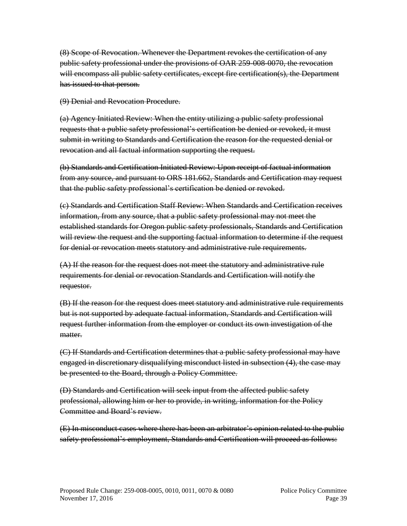(8) Scope of Revocation. Whenever the Department revokes the certification of any public safety professional under the provisions of OAR 259-008-0070, the revocation will encompass all public safety certificates, except fire certification(s), the Department has issued to that person.

(9) Denial and Revocation Procedure.

(a) Agency Initiated Review: When the entity utilizing a public safety professional requests that a public safety professional's certification be denied or revoked, it must submit in writing to Standards and Certification the reason for the requested denial or revocation and all factual information supporting the request.

(b) Standards and Certification Initiated Review: Upon receipt of factual information from any source, and pursuant to ORS 181.662, Standards and Certification may request that the public safety professional's certification be denied or revoked.

(c) Standards and Certification Staff Review: When Standards and Certification receives information, from any source, that a public safety professional may not meet the established standards for Oregon public safety professionals, Standards and Certification will review the request and the supporting factual information to determine if the request for denial or revocation meets statutory and administrative rule requirements.

(A) If the reason for the request does not meet the statutory and administrative rule requirements for denial or revocation Standards and Certification will notify the requestor.

(B) If the reason for the request does meet statutory and administrative rule requirements but is not supported by adequate factual information, Standards and Certification will request further information from the employer or conduct its own investigation of the matter.

(C) If Standards and Certification determines that a public safety professional may have engaged in discretionary disqualifying misconduct listed in subsection (4), the case may be presented to the Board, through a Policy Committee.

(D) Standards and Certification will seek input from the affected public safety professional, allowing him or her to provide, in writing, information for the Policy Committee and Board's review.

(E) In misconduct cases where there has been an arbitrator's opinion related to the public safety professional's employment, Standards and Certification will proceed as follows: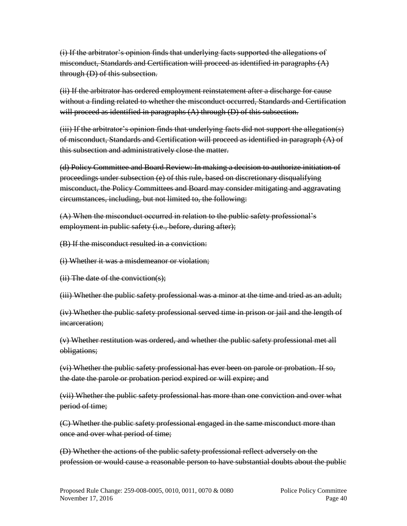(i) If the arbitrator's opinion finds that underlying facts supported the allegations of misconduct, Standards and Certification will proceed as identified in paragraphs (A) through (D) of this subsection.

(ii) If the arbitrator has ordered employment reinstatement after a discharge for cause without a finding related to whether the misconduct occurred, Standards and Certification will proceed as identified in paragraphs  $(A)$  through  $(D)$  of this subsection.

(iii) If the arbitrator's opinion finds that underlying facts did not support the allegation(s) of misconduct, Standards and Certification will proceed as identified in paragraph (A) of this subsection and administratively close the matter.

(d) Policy Committee and Board Review: In making a decision to authorize initiation of proceedings under subsection (e) of this rule, based on discretionary disqualifying misconduct, the Policy Committees and Board may consider mitigating and aggravating circumstances, including, but not limited to, the following:

(A) When the misconduct occurred in relation to the public safety professional's employment in public safety (i.e., before, during after);

(B) If the misconduct resulted in a conviction:

(i) Whether it was a misdemeanor or violation;

(ii) The date of the conviction(s);

(iii) Whether the public safety professional was a minor at the time and tried as an adult;

(iv) Whether the public safety professional served time in prison or jail and the length of incarceration;

(v) Whether restitution was ordered, and whether the public safety professional met all obligations;

(vi) Whether the public safety professional has ever been on parole or probation. If so, the date the parole or probation period expired or will expire; and

(vii) Whether the public safety professional has more than one conviction and over what period of time;

(C) Whether the public safety professional engaged in the same misconduct more than once and over what period of time;

(D) Whether the actions of the public safety professional reflect adversely on the profession or would cause a reasonable person to have substantial doubts about the public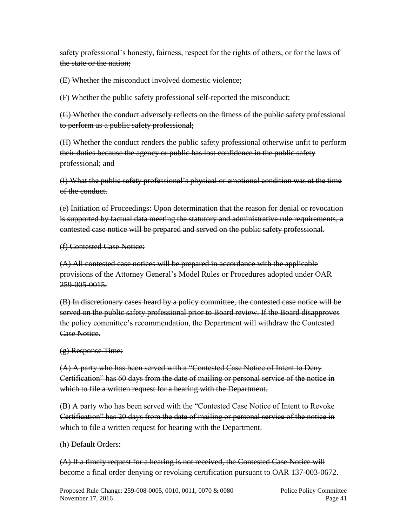safety professional's honesty, fairness, respect for the rights of others, or for the laws of the state or the nation;

(E) Whether the misconduct involved domestic violence;

(F) Whether the public safety professional self-reported the misconduct;

(G) Whether the conduct adversely reflects on the fitness of the public safety professional to perform as a public safety professional;

(H) Whether the conduct renders the public safety professional otherwise unfit to perform their duties because the agency or public has lost confidence in the public safety professional; and

(I) What the public safety professional's physical or emotional condition was at the time of the conduct.

(e) Initiation of Proceedings: Upon determination that the reason for denial or revocation is supported by factual data meeting the statutory and administrative rule requirements, a contested case notice will be prepared and served on the public safety professional.

(f) Contested Case Notice:

(A) All contested case notices will be prepared in accordance with the applicable provisions of the Attorney General's Model Rules or Procedures adopted under OAR 259-005-0015.

(B) In discretionary cases heard by a policy committee, the contested case notice will be served on the public safety professional prior to Board review. If the Board disapproves the policy committee's recommendation, the Department will withdraw the Contested Case Notice.

# (g) Response Time:

(A) A party who has been served with a "Contested Case Notice of Intent to Deny Certification" has 60 days from the date of mailing or personal service of the notice in which to file a written request for a hearing with the Department.

(B) A party who has been served with the "Contested Case Notice of Intent to Revoke Certification" has 20 days from the date of mailing or personal service of the notice in which to file a written request for hearing with the Department.

# (h) Default Orders:

(A) If a timely request for a hearing is not received, the Contested Case Notice will become a final order denying or revoking certification pursuant to OAR 137-003-0672.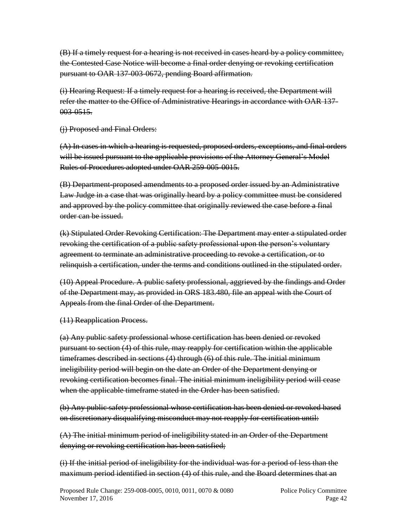(B) If a timely request for a hearing is not received in cases heard by a policy committee, the Contested Case Notice will become a final order denying or revoking certification pursuant to OAR 137-003-0672, pending Board affirmation.

(i) Hearing Request: If a timely request for a hearing is received, the Department will refer the matter to the Office of Administrative Hearings in accordance with OAR 137- 003-0515.

(j) Proposed and Final Orders:

(A) In cases in which a hearing is requested, proposed orders, exceptions, and final orders will be issued pursuant to the applicable provisions of the Attorney General's Model Rules of Procedures adopted under OAR 259-005-0015.

(B) Department-proposed amendments to a proposed order issued by an Administrative Law Judge in a case that was originally heard by a policy committee must be considered and approved by the policy committee that originally reviewed the case before a final order can be issued.

(k) Stipulated Order Revoking Certification: The Department may enter a stipulated order revoking the certification of a public safety professional upon the person's voluntary agreement to terminate an administrative proceeding to revoke a certification, or to relinquish a certification, under the terms and conditions outlined in the stipulated order.

(10) Appeal Procedure. A public safety professional, aggrieved by the findings and Order of the Department may, as provided in ORS 183.480, file an appeal with the Court of Appeals from the final Order of the Department.

(11) Reapplication Process.

(a) Any public safety professional whose certification has been denied or revoked pursuant to section (4) of this rule, may reapply for certification within the applicable timeframes described in sections (4) through (6) of this rule. The initial minimum ineligibility period will begin on the date an Order of the Department denying or revoking certification becomes final. The initial minimum ineligibility period will cease when the applicable timeframe stated in the Order has been satisfied.

(b) Any public safety professional whose certification has been denied or revoked based on discretionary disqualifying misconduct may not reapply for certification until:

(A) The initial minimum period of ineligibility stated in an Order of the Department denying or revoking certification has been satisfied;

(i) If the initial period of ineligibility for the individual was for a period of less than the maximum period identified in section (4) of this rule, and the Board determines that an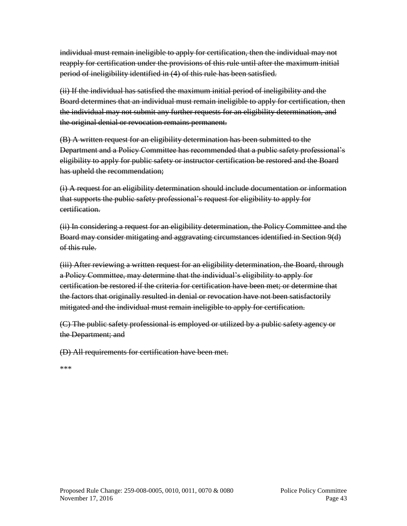individual must remain ineligible to apply for certification, then the individual may not reapply for certification under the provisions of this rule until after the maximum initial period of ineligibility identified in (4) of this rule has been satisfied.

(ii) If the individual has satisfied the maximum initial period of ineligibility and the Board determines that an individual must remain ineligible to apply for certification, then the individual may not submit any further requests for an eligibility determination, and the original denial or revocation remains permanent.

(B) A written request for an eligibility determination has been submitted to the Department and a Policy Committee has recommended that a public safety professional's eligibility to apply for public safety or instructor certification be restored and the Board has upheld the recommendation;

(i) A request for an eligibility determination should include documentation or information that supports the public safety professional's request for eligibility to apply for certification.

(ii) In considering a request for an eligibility determination, the Policy Committee and the Board may consider mitigating and aggravating circumstances identified in Section 9(d) of this rule.

(iii) After reviewing a written request for an eligibility determination, the Board, through a Policy Committee, may determine that the individual's eligibility to apply for certification be restored if the criteria for certification have been met; or determine that the factors that originally resulted in denial or revocation have not been satisfactorily mitigated and the individual must remain ineligible to apply for certification.

(C) The public safety professional is employed or utilized by a public safety agency or the Department; and

(D) All requirements for certification have been met.

\*\*\*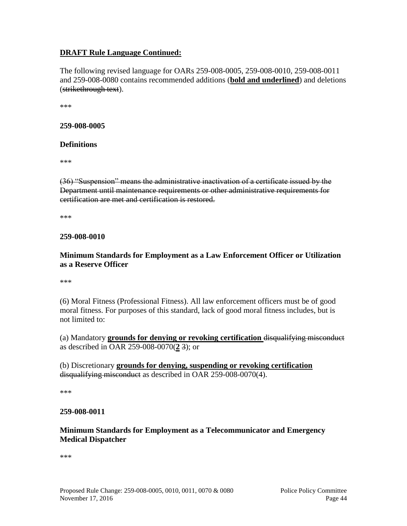# **DRAFT Rule Language Continued:**

The following revised language for OARs 259-008-0005, 259-008-0010, 259-008-0011 and 259-008-0080 contains recommended additions (**bold and underlined**) and deletions (strikethrough text).

\*\*\*

#### **259-008-0005**

#### **Definitions**

\*\*\*

(36) "Suspension" means the administrative inactivation of a certificate issued by the Department until maintenance requirements or other administrative requirements for certification are met and certification is restored.

\*\*\*

#### **259-008-0010**

#### **Minimum Standards for Employment as a Law Enforcement Officer or Utilization as a Reserve Officer**

\*\*\*

(6) Moral Fitness (Professional Fitness). All law enforcement officers must be of good moral fitness. For purposes of this standard, lack of good moral fitness includes, but is not limited to:

(a) Mandatory **grounds for denying or revoking certification** disqualifying misconduct as described in OAR 259-008-0070(**2** 3); or

(b) Discretionary **grounds for denying, suspending or revoking certification**  disqualifying misconduct as described in OAR 259-008-0070(4).

\*\*\*

#### **259-008-0011**

#### **Minimum Standards for Employment as a Telecommunicator and Emergency Medical Dispatcher**

\*\*\*